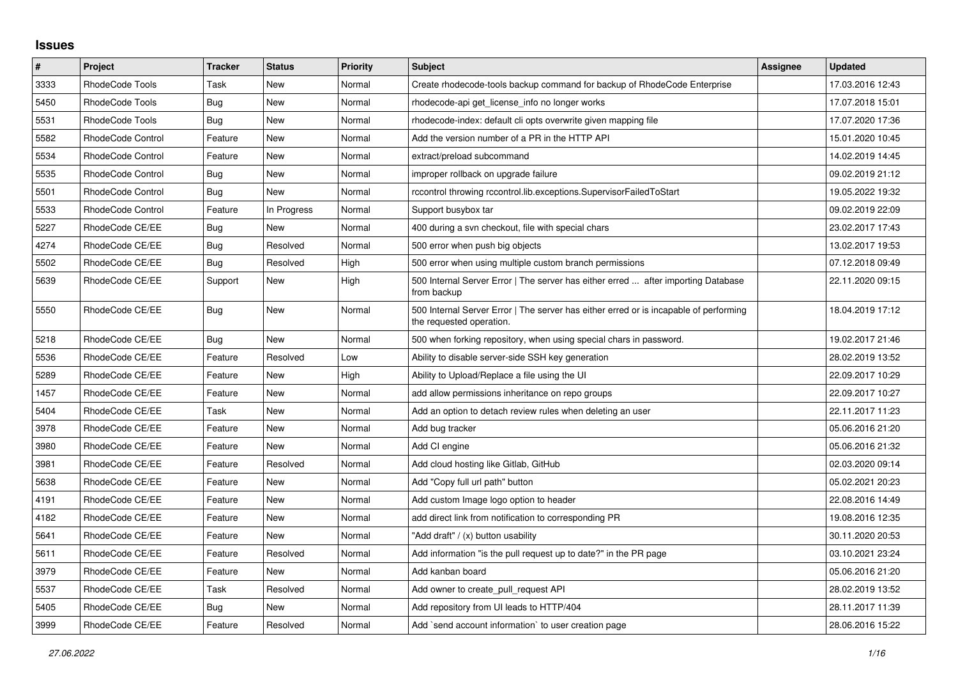## **Issues**

| $\sharp$ | Project                  | <b>Tracker</b> | <b>Status</b> | <b>Priority</b> | <b>Subject</b>                                                                                                    | Assignee | <b>Updated</b>   |
|----------|--------------------------|----------------|---------------|-----------------|-------------------------------------------------------------------------------------------------------------------|----------|------------------|
| 3333     | RhodeCode Tools          | Task           | <b>New</b>    | Normal          | Create rhodecode-tools backup command for backup of RhodeCode Enterprise                                          |          | 17.03.2016 12:43 |
| 5450     | RhodeCode Tools          | Bug            | New           | Normal          | rhodecode-api get license info no longer works                                                                    |          | 17.07.2018 15:01 |
| 5531     | RhodeCode Tools          | <b>Bug</b>     | <b>New</b>    | Normal          | rhodecode-index: default cli opts overwrite given mapping file                                                    |          | 17.07.2020 17:36 |
| 5582     | <b>RhodeCode Control</b> | Feature        | New           | Normal          | Add the version number of a PR in the HTTP API                                                                    |          | 15.01.2020 10:45 |
| 5534     | <b>RhodeCode Control</b> | Feature        | <b>New</b>    | Normal          | extract/preload subcommand                                                                                        |          | 14.02.2019 14:45 |
| 5535     | RhodeCode Control        | Bug            | New           | Normal          | improper rollback on upgrade failure                                                                              |          | 09.02.2019 21:12 |
| 5501     | <b>RhodeCode Control</b> | Bug            | <b>New</b>    | Normal          | rccontrol throwing rccontrol.lib.exceptions.SupervisorFailedToStart                                               |          | 19.05.2022 19:32 |
| 5533     | RhodeCode Control        | Feature        | In Progress   | Normal          | Support busybox tar                                                                                               |          | 09.02.2019 22:09 |
| 5227     | RhodeCode CE/EE          | Bug            | New           | Normal          | 400 during a svn checkout, file with special chars                                                                |          | 23.02.2017 17:43 |
| 4274     | RhodeCode CE/EE          | Bug            | Resolved      | Normal          | 500 error when push big objects                                                                                   |          | 13.02.2017 19:53 |
| 5502     | RhodeCode CE/EE          | <b>Bug</b>     | Resolved      | High            | 500 error when using multiple custom branch permissions                                                           |          | 07.12.2018 09:49 |
| 5639     | RhodeCode CE/EE          | Support        | New           | High            | 500 Internal Server Error   The server has either erred  after importing Database<br>from backup                  |          | 22.11.2020 09:15 |
| 5550     | RhodeCode CE/EE          | Bug            | New           | Normal          | 500 Internal Server Error   The server has either erred or is incapable of performing<br>the requested operation. |          | 18.04.2019 17:12 |
| 5218     | RhodeCode CE/EE          | Bug            | <b>New</b>    | Normal          | 500 when forking repository, when using special chars in password.                                                |          | 19.02.2017 21:46 |
| 5536     | RhodeCode CE/EE          | Feature        | Resolved      | Low             | Ability to disable server-side SSH key generation                                                                 |          | 28.02.2019 13:52 |
| 5289     | RhodeCode CE/EE          | Feature        | <b>New</b>    | High            | Ability to Upload/Replace a file using the UI                                                                     |          | 22.09.2017 10:29 |
| 1457     | RhodeCode CE/EE          | Feature        | New           | Normal          | add allow permissions inheritance on repo groups                                                                  |          | 22.09.2017 10:27 |
| 5404     | RhodeCode CE/EE          | Task           | New           | Normal          | Add an option to detach review rules when deleting an user                                                        |          | 22.11.2017 11:23 |
| 3978     | RhodeCode CE/EE          | Feature        | New           | Normal          | Add bug tracker                                                                                                   |          | 05.06.2016 21:20 |
| 3980     | RhodeCode CE/EE          | Feature        | <b>New</b>    | Normal          | Add CI engine                                                                                                     |          | 05.06.2016 21:32 |
| 3981     | RhodeCode CE/EE          | Feature        | Resolved      | Normal          | Add cloud hosting like Gitlab, GitHub                                                                             |          | 02.03.2020 09:14 |
| 5638     | RhodeCode CE/EE          | Feature        | New           | Normal          | Add "Copy full url path" button                                                                                   |          | 05.02.2021 20:23 |
| 4191     | RhodeCode CE/EE          | Feature        | New           | Normal          | Add custom Image logo option to header                                                                            |          | 22.08.2016 14:49 |
| 4182     | RhodeCode CE/EE          | Feature        | New           | Normal          | add direct link from notification to corresponding PR                                                             |          | 19.08.2016 12:35 |
| 5641     | RhodeCode CE/EE          | Feature        | New           | Normal          | "Add draft" / (x) button usability                                                                                |          | 30.11.2020 20:53 |
| 5611     | RhodeCode CE/EE          | Feature        | Resolved      | Normal          | Add information "is the pull request up to date?" in the PR page                                                  |          | 03.10.2021 23:24 |
| 3979     | RhodeCode CE/EE          | Feature        | <b>New</b>    | Normal          | Add kanban board                                                                                                  |          | 05.06.2016 21:20 |
| 5537     | RhodeCode CE/EE          | Task           | Resolved      | Normal          | Add owner to create_pull_request API                                                                              |          | 28.02.2019 13:52 |
| 5405     | RhodeCode CE/EE          | <b>Bug</b>     | <b>New</b>    | Normal          | Add repository from UI leads to HTTP/404                                                                          |          | 28.11.2017 11:39 |
| 3999     | RhodeCode CE/EE          | Feature        | Resolved      | Normal          | Add `send account information` to user creation page                                                              |          | 28.06.2016 15:22 |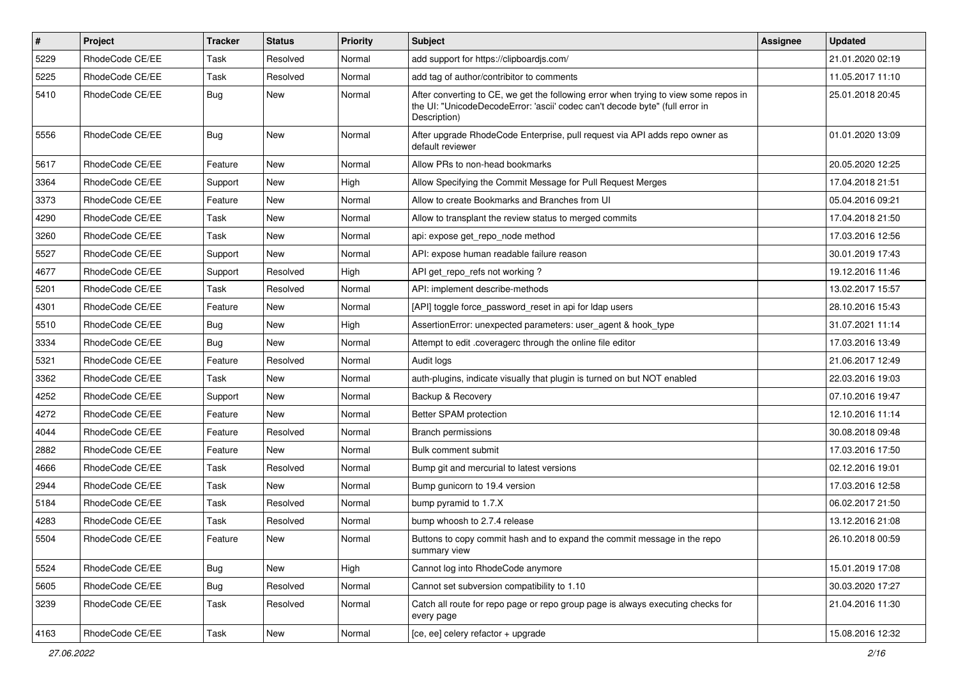| $\pmb{\#}$ | <b>Project</b>  | <b>Tracker</b> | <b>Status</b> | <b>Priority</b> | Subject                                                                                                                                                                              | Assignee | <b>Updated</b>   |
|------------|-----------------|----------------|---------------|-----------------|--------------------------------------------------------------------------------------------------------------------------------------------------------------------------------------|----------|------------------|
| 5229       | RhodeCode CE/EE | Task           | Resolved      | Normal          | add support for https://clipboardjs.com/                                                                                                                                             |          | 21.01.2020 02:19 |
| 5225       | RhodeCode CE/EE | Task           | Resolved      | Normal          | add tag of author/contribitor to comments                                                                                                                                            |          | 11.05.2017 11:10 |
| 5410       | RhodeCode CE/EE | Bug            | <b>New</b>    | Normal          | After converting to CE, we get the following error when trying to view some repos in<br>the UI: "UnicodeDecodeError: 'ascii' codec can't decode byte" (full error in<br>Description) |          | 25.01.2018 20:45 |
| 5556       | RhodeCode CE/EE | Bug            | <b>New</b>    | Normal          | After upgrade RhodeCode Enterprise, pull request via API adds repo owner as<br>default reviewer                                                                                      |          | 01.01.2020 13:09 |
| 5617       | RhodeCode CE/EE | Feature        | New           | Normal          | Allow PRs to non-head bookmarks                                                                                                                                                      |          | 20.05.2020 12:25 |
| 3364       | RhodeCode CE/EE | Support        | New           | High            | Allow Specifying the Commit Message for Pull Request Merges                                                                                                                          |          | 17.04.2018 21:51 |
| 3373       | RhodeCode CE/EE | Feature        | <b>New</b>    | Normal          | Allow to create Bookmarks and Branches from UI                                                                                                                                       |          | 05.04.2016 09:21 |
| 4290       | RhodeCode CE/EE | Task           | New           | Normal          | Allow to transplant the review status to merged commits                                                                                                                              |          | 17.04.2018 21:50 |
| 3260       | RhodeCode CE/EE | Task           | <b>New</b>    | Normal          | api: expose get_repo_node method                                                                                                                                                     |          | 17.03.2016 12:56 |
| 5527       | RhodeCode CE/EE | Support        | New           | Normal          | API: expose human readable failure reason                                                                                                                                            |          | 30.01.2019 17:43 |
| 4677       | RhodeCode CE/EE | Support        | Resolved      | High            | API get repo refs not working?                                                                                                                                                       |          | 19.12.2016 11:46 |
| 5201       | RhodeCode CE/EE | Task           | Resolved      | Normal          | API: implement describe-methods                                                                                                                                                      |          | 13.02.2017 15:57 |
| 4301       | RhodeCode CE/EE | Feature        | <b>New</b>    | Normal          | [API] toggle force password reset in api for Idap users                                                                                                                              |          | 28.10.2016 15:43 |
| 5510       | RhodeCode CE/EE | Bug            | <b>New</b>    | High            | AssertionError: unexpected parameters: user agent & hook type                                                                                                                        |          | 31.07.2021 11:14 |
| 3334       | RhodeCode CE/EE | Bug            | <b>New</b>    | Normal          | Attempt to edit .coveragerc through the online file editor                                                                                                                           |          | 17.03.2016 13:49 |
| 5321       | RhodeCode CE/EE | Feature        | Resolved      | Normal          | Audit logs                                                                                                                                                                           |          | 21.06.2017 12:49 |
| 3362       | RhodeCode CE/EE | Task           | New           | Normal          | auth-plugins, indicate visually that plugin is turned on but NOT enabled                                                                                                             |          | 22.03.2016 19:03 |
| 4252       | RhodeCode CE/EE | Support        | <b>New</b>    | Normal          | Backup & Recovery                                                                                                                                                                    |          | 07.10.2016 19:47 |
| 4272       | RhodeCode CE/EE | Feature        | <b>New</b>    | Normal          | Better SPAM protection                                                                                                                                                               |          | 12.10.2016 11:14 |
| 4044       | RhodeCode CE/EE | Feature        | Resolved      | Normal          | <b>Branch permissions</b>                                                                                                                                                            |          | 30.08.2018 09:48 |
| 2882       | RhodeCode CE/EE | Feature        | New           | Normal          | Bulk comment submit                                                                                                                                                                  |          | 17.03.2016 17:50 |
| 4666       | RhodeCode CE/EE | Task           | Resolved      | Normal          | Bump git and mercurial to latest versions                                                                                                                                            |          | 02.12.2016 19:01 |
| 2944       | RhodeCode CE/EE | Task           | <b>New</b>    | Normal          | Bump gunicorn to 19.4 version                                                                                                                                                        |          | 17.03.2016 12:58 |
| 5184       | RhodeCode CE/EE | Task           | Resolved      | Normal          | bump pyramid to 1.7.X                                                                                                                                                                |          | 06.02.2017 21:50 |
| 4283       | RhodeCode CE/EE | Task           | Resolved      | Normal          | bump whoosh to 2.7.4 release                                                                                                                                                         |          | 13.12.2016 21:08 |
| 5504       | RhodeCode CE/EE | Feature        | New           | Normal          | Buttons to copy commit hash and to expand the commit message in the repo<br>summary view                                                                                             |          | 26.10.2018 00:59 |
| 5524       | RhodeCode CE/EE | <b>Bug</b>     | New           | High            | Cannot log into RhodeCode anymore                                                                                                                                                    |          | 15.01.2019 17:08 |
| 5605       | RhodeCode CE/EE | Bug            | Resolved      | Normal          | Cannot set subversion compatibility to 1.10                                                                                                                                          |          | 30.03.2020 17:27 |
| 3239       | RhodeCode CE/EE | Task           | Resolved      | Normal          | Catch all route for repo page or repo group page is always executing checks for<br>every page                                                                                        |          | 21.04.2016 11:30 |
| 4163       | RhodeCode CE/EE | Task           | New           | Normal          | [ce, ee] celery refactor + upgrade                                                                                                                                                   |          | 15.08.2016 12:32 |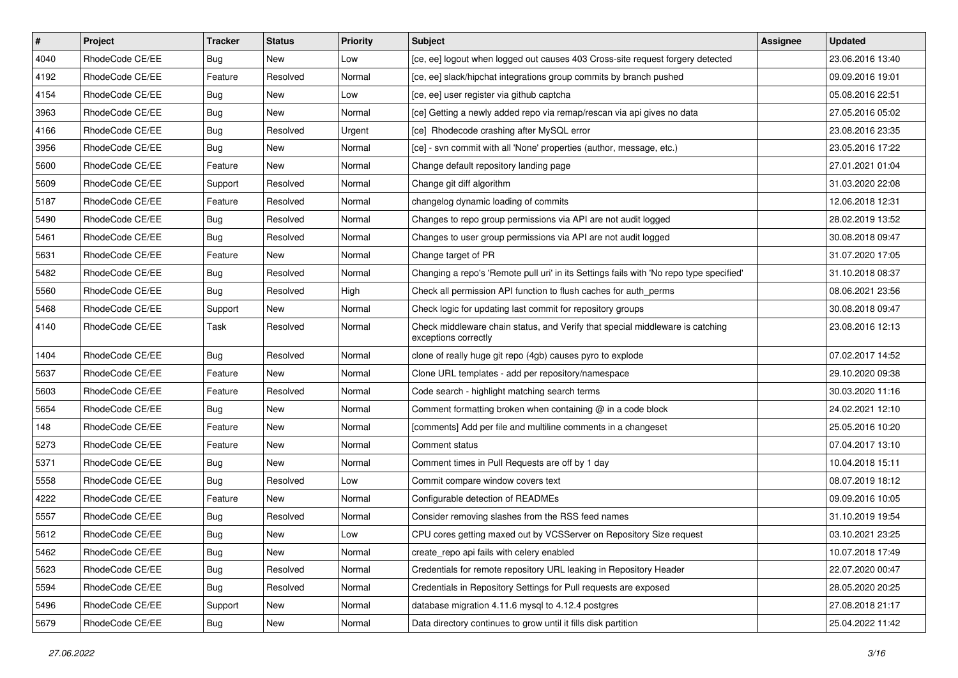| #    | Project         | <b>Tracker</b> | <b>Status</b> | Priority | <b>Subject</b>                                                                                        | <b>Assignee</b> | <b>Updated</b>   |
|------|-----------------|----------------|---------------|----------|-------------------------------------------------------------------------------------------------------|-----------------|------------------|
| 4040 | RhodeCode CE/EE | Bug            | New           | Low      | [ce, ee] logout when logged out causes 403 Cross-site request forgery detected                        |                 | 23.06.2016 13:40 |
| 4192 | RhodeCode CE/EE | Feature        | Resolved      | Normal   | [ce, ee] slack/hipchat integrations group commits by branch pushed                                    |                 | 09.09.2016 19:01 |
| 4154 | RhodeCode CE/EE | Bug            | New           | Low      | [ce, ee] user register via github captcha                                                             |                 | 05.08.2016 22:51 |
| 3963 | RhodeCode CE/EE | Bug            | New           | Normal   | [ce] Getting a newly added repo via remap/rescan via api gives no data                                |                 | 27.05.2016 05:02 |
| 4166 | RhodeCode CE/EE | Bug            | Resolved      | Urgent   | [ce] Rhodecode crashing after MySQL error                                                             |                 | 23.08.2016 23:35 |
| 3956 | RhodeCode CE/EE | Bug            | New           | Normal   | [ce] - svn commit with all 'None' properties (author, message, etc.)                                  |                 | 23.05.2016 17:22 |
| 5600 | RhodeCode CE/EE | Feature        | New           | Normal   | Change default repository landing page                                                                |                 | 27.01.2021 01:04 |
| 5609 | RhodeCode CE/EE | Support        | Resolved      | Normal   | Change git diff algorithm                                                                             |                 | 31.03.2020 22:08 |
| 5187 | RhodeCode CE/EE | Feature        | Resolved      | Normal   | changelog dynamic loading of commits                                                                  |                 | 12.06.2018 12:31 |
| 5490 | RhodeCode CE/EE | Bug            | Resolved      | Normal   | Changes to repo group permissions via API are not audit logged                                        |                 | 28.02.2019 13:52 |
| 5461 | RhodeCode CE/EE | <b>Bug</b>     | Resolved      | Normal   | Changes to user group permissions via API are not audit logged                                        |                 | 30.08.2018 09:47 |
| 5631 | RhodeCode CE/EE | Feature        | New           | Normal   | Change target of PR                                                                                   |                 | 31.07.2020 17:05 |
| 5482 | RhodeCode CE/EE | Bug            | Resolved      | Normal   | Changing a repo's 'Remote pull uri' in its Settings fails with 'No repo type specified'               |                 | 31.10.2018 08:37 |
| 5560 | RhodeCode CE/EE | Bug            | Resolved      | High     | Check all permission API function to flush caches for auth_perms                                      |                 | 08.06.2021 23:56 |
| 5468 | RhodeCode CE/EE | Support        | <b>New</b>    | Normal   | Check logic for updating last commit for repository groups                                            |                 | 30.08.2018 09:47 |
| 4140 | RhodeCode CE/EE | Task           | Resolved      | Normal   | Check middleware chain status, and Verify that special middleware is catching<br>exceptions correctly |                 | 23.08.2016 12:13 |
| 1404 | RhodeCode CE/EE | Bug            | Resolved      | Normal   | clone of really huge git repo (4gb) causes pyro to explode                                            |                 | 07.02.2017 14:52 |
| 5637 | RhodeCode CE/EE | Feature        | New           | Normal   | Clone URL templates - add per repository/namespace                                                    |                 | 29.10.2020 09:38 |
| 5603 | RhodeCode CE/EE | Feature        | Resolved      | Normal   | Code search - highlight matching search terms                                                         |                 | 30.03.2020 11:16 |
| 5654 | RhodeCode CE/EE | Bug            | New           | Normal   | Comment formatting broken when containing @ in a code block                                           |                 | 24.02.2021 12:10 |
| 148  | RhodeCode CE/EE | Feature        | New           | Normal   | [comments] Add per file and multiline comments in a changeset                                         |                 | 25.05.2016 10:20 |
| 5273 | RhodeCode CE/EE | Feature        | New           | Normal   | Comment status                                                                                        |                 | 07.04.2017 13:10 |
| 5371 | RhodeCode CE/EE | Bug            | New           | Normal   | Comment times in Pull Requests are off by 1 day                                                       |                 | 10.04.2018 15:11 |
| 5558 | RhodeCode CE/EE | Bug            | Resolved      | Low      | Commit compare window covers text                                                                     |                 | 08.07.2019 18:12 |
| 4222 | RhodeCode CE/EE | Feature        | <b>New</b>    | Normal   | Configurable detection of READMEs                                                                     |                 | 09.09.2016 10:05 |
| 5557 | RhodeCode CE/EE | Bug            | Resolved      | Normal   | Consider removing slashes from the RSS feed names                                                     |                 | 31.10.2019 19:54 |
| 5612 | RhodeCode CE/EE | Bug            | New           | Low      | CPU cores getting maxed out by VCSServer on Repository Size request                                   |                 | 03.10.2021 23:25 |
| 5462 | RhodeCode CE/EE | <b>Bug</b>     | New           | Normal   | create_repo api fails with celery enabled                                                             |                 | 10.07.2018 17:49 |
| 5623 | RhodeCode CE/EE | Bug            | Resolved      | Normal   | Credentials for remote repository URL leaking in Repository Header                                    |                 | 22.07.2020 00:47 |
| 5594 | RhodeCode CE/EE | <b>Bug</b>     | Resolved      | Normal   | Credentials in Repository Settings for Pull requests are exposed                                      |                 | 28.05.2020 20:25 |
| 5496 | RhodeCode CE/EE | Support        | New           | Normal   | database migration 4.11.6 mysql to 4.12.4 postgres                                                    |                 | 27.08.2018 21:17 |
| 5679 | RhodeCode CE/EE | <b>Bug</b>     | New           | Normal   | Data directory continues to grow until it fills disk partition                                        |                 | 25.04.2022 11:42 |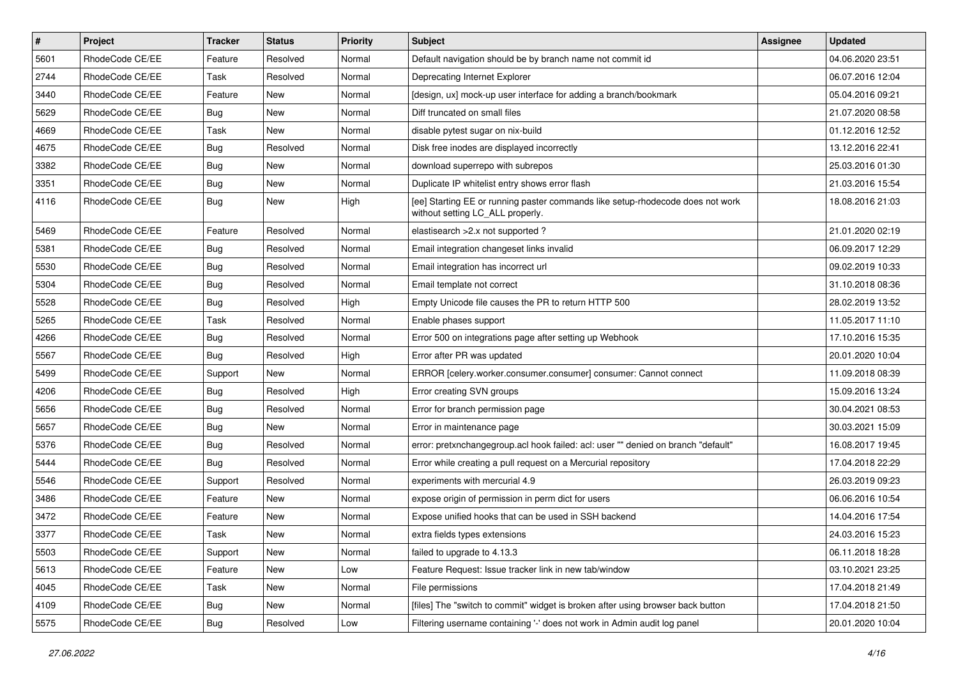| $\vert$ # | Project         | <b>Tracker</b> | <b>Status</b> | <b>Priority</b> | <b>Subject</b>                                                                                                     | <b>Assignee</b> | <b>Updated</b>   |
|-----------|-----------------|----------------|---------------|-----------------|--------------------------------------------------------------------------------------------------------------------|-----------------|------------------|
| 5601      | RhodeCode CE/EE | Feature        | Resolved      | Normal          | Default navigation should be by branch name not commit id                                                          |                 | 04.06.2020 23:51 |
| 2744      | RhodeCode CE/EE | Task           | Resolved      | Normal          | Deprecating Internet Explorer                                                                                      |                 | 06.07.2016 12:04 |
| 3440      | RhodeCode CE/EE | Feature        | New           | Normal          | [design, ux] mock-up user interface for adding a branch/bookmark                                                   |                 | 05.04.2016 09:21 |
| 5629      | RhodeCode CE/EE | <b>Bug</b>     | New           | Normal          | Diff truncated on small files                                                                                      |                 | 21.07.2020 08:58 |
| 4669      | RhodeCode CE/EE | Task           | New           | Normal          | disable pytest sugar on nix-build                                                                                  |                 | 01.12.2016 12:52 |
| 4675      | RhodeCode CE/EE | <b>Bug</b>     | Resolved      | Normal          | Disk free inodes are displayed incorrectly                                                                         |                 | 13.12.2016 22:41 |
| 3382      | RhodeCode CE/EE | Bug            | New           | Normal          | download superrepo with subrepos                                                                                   |                 | 25.03.2016 01:30 |
| 3351      | RhodeCode CE/EE | Bug            | New           | Normal          | Duplicate IP whitelist entry shows error flash                                                                     |                 | 21.03.2016 15:54 |
| 4116      | RhodeCode CE/EE | <b>Bug</b>     | New           | High            | [ee] Starting EE or running paster commands like setup-rhodecode does not work<br>without setting LC_ALL properly. |                 | 18.08.2016 21:03 |
| 5469      | RhodeCode CE/EE | Feature        | Resolved      | Normal          | elastisearch > 2.x not supported?                                                                                  |                 | 21.01.2020 02:19 |
| 5381      | RhodeCode CE/EE | <b>Bug</b>     | Resolved      | Normal          | Email integration changeset links invalid                                                                          |                 | 06.09.2017 12:29 |
| 5530      | RhodeCode CE/EE | Bug            | Resolved      | Normal          | Email integration has incorrect url                                                                                |                 | 09.02.2019 10:33 |
| 5304      | RhodeCode CE/EE | <b>Bug</b>     | Resolved      | Normal          | Email template not correct                                                                                         |                 | 31.10.2018 08:36 |
| 5528      | RhodeCode CE/EE | <b>Bug</b>     | Resolved      | High            | Empty Unicode file causes the PR to return HTTP 500                                                                |                 | 28.02.2019 13:52 |
| 5265      | RhodeCode CE/EE | Task           | Resolved      | Normal          | Enable phases support                                                                                              |                 | 11.05.2017 11:10 |
| 4266      | RhodeCode CE/EE | Bug            | Resolved      | Normal          | Error 500 on integrations page after setting up Webhook                                                            |                 | 17.10.2016 15:35 |
| 5567      | RhodeCode CE/EE | Bug            | Resolved      | High            | Error after PR was updated                                                                                         |                 | 20.01.2020 10:04 |
| 5499      | RhodeCode CE/EE | Support        | <b>New</b>    | Normal          | ERROR [celery.worker.consumer.consumer] consumer: Cannot connect                                                   |                 | 11.09.2018 08:39 |
| 4206      | RhodeCode CE/EE | Bug            | Resolved      | High            | Error creating SVN groups                                                                                          |                 | 15.09.2016 13:24 |
| 5656      | RhodeCode CE/EE | Bug            | Resolved      | Normal          | Error for branch permission page                                                                                   |                 | 30.04.2021 08:53 |
| 5657      | RhodeCode CE/EE | <b>Bug</b>     | New           | Normal          | Error in maintenance page                                                                                          |                 | 30.03.2021 15:09 |
| 5376      | RhodeCode CE/EE | <b>Bug</b>     | Resolved      | Normal          | error: pretxnchangegroup.acl hook failed: acl: user "" denied on branch "default"                                  |                 | 16.08.2017 19:45 |
| 5444      | RhodeCode CE/EE | Bug            | Resolved      | Normal          | Error while creating a pull request on a Mercurial repository                                                      |                 | 17.04.2018 22:29 |
| 5546      | RhodeCode CE/EE | Support        | Resolved      | Normal          | experiments with mercurial 4.9                                                                                     |                 | 26.03.2019 09:23 |
| 3486      | RhodeCode CE/EE | Feature        | New           | Normal          | expose origin of permission in perm dict for users                                                                 |                 | 06.06.2016 10:54 |
| 3472      | RhodeCode CE/EE | Feature        | New           | Normal          | Expose unified hooks that can be used in SSH backend                                                               |                 | 14.04.2016 17:54 |
| 3377      | RhodeCode CE/EE | Task           | New           | Normal          | extra fields types extensions                                                                                      |                 | 24.03.2016 15:23 |
| 5503      | RhodeCode CE/EE | Support        | New           | Normal          | failed to upgrade to 4.13.3                                                                                        |                 | 06.11.2018 18:28 |
| 5613      | RhodeCode CE/EE | Feature        | New           | Low             | Feature Request: Issue tracker link in new tab/window                                                              |                 | 03.10.2021 23:25 |
| 4045      | RhodeCode CE/EE | Task           | New           | Normal          | File permissions                                                                                                   |                 | 17.04.2018 21:49 |
| 4109      | RhodeCode CE/EE | <b>Bug</b>     | New           | Normal          | [files] The "switch to commit" widget is broken after using browser back button                                    |                 | 17.04.2018 21:50 |
| 5575      | RhodeCode CE/EE | <b>Bug</b>     | Resolved      | Low             | Filtering username containing '-' does not work in Admin audit log panel                                           |                 | 20.01.2020 10:04 |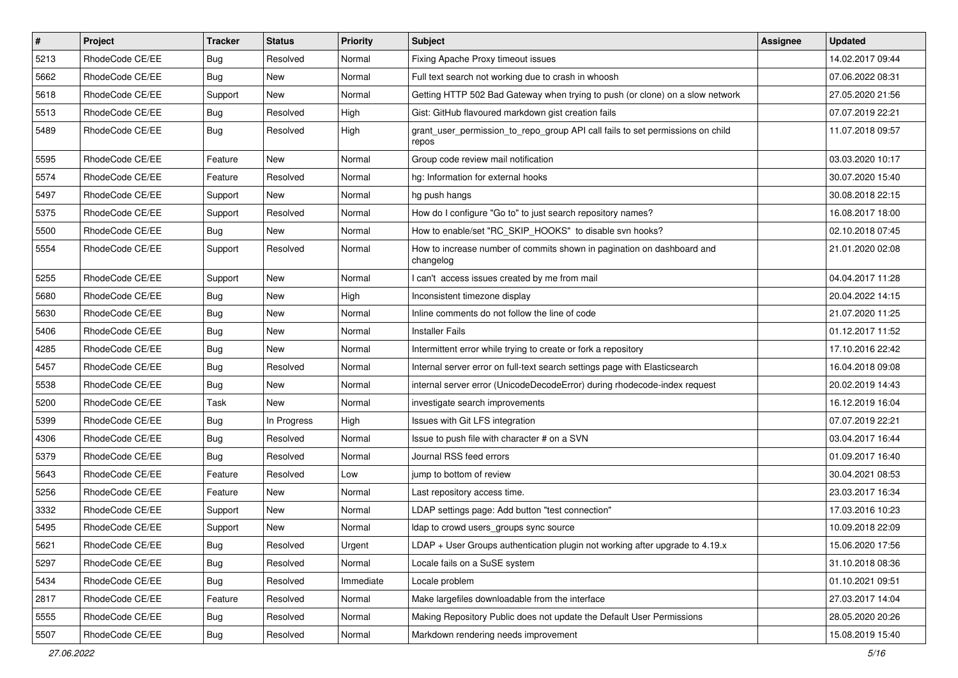| $\pmb{\#}$ | Project         | <b>Tracker</b> | <b>Status</b> | <b>Priority</b> | Subject                                                                                 | <b>Assignee</b> | <b>Updated</b>   |
|------------|-----------------|----------------|---------------|-----------------|-----------------------------------------------------------------------------------------|-----------------|------------------|
| 5213       | RhodeCode CE/EE | <b>Bug</b>     | Resolved      | Normal          | Fixing Apache Proxy timeout issues                                                      |                 | 14.02.2017 09:44 |
| 5662       | RhodeCode CE/EE | Bug            | <b>New</b>    | Normal          | Full text search not working due to crash in whoosh                                     |                 | 07.06.2022 08:31 |
| 5618       | RhodeCode CE/EE | Support        | New           | Normal          | Getting HTTP 502 Bad Gateway when trying to push (or clone) on a slow network           |                 | 27.05.2020 21:56 |
| 5513       | RhodeCode CE/EE | Bug            | Resolved      | High            | Gist: GitHub flavoured markdown gist creation fails                                     |                 | 07.07.2019 22:21 |
| 5489       | RhodeCode CE/EE | <b>Bug</b>     | Resolved      | High            | grant_user_permission_to_repo_group API call fails to set permissions on child<br>repos |                 | 11.07.2018 09:57 |
| 5595       | RhodeCode CE/EE | Feature        | <b>New</b>    | Normal          | Group code review mail notification                                                     |                 | 03.03.2020 10:17 |
| 5574       | RhodeCode CE/EE | Feature        | Resolved      | Normal          | hg: Information for external hooks                                                      |                 | 30.07.2020 15:40 |
| 5497       | RhodeCode CE/EE | Support        | <b>New</b>    | Normal          | hg push hangs                                                                           |                 | 30.08.2018 22:15 |
| 5375       | RhodeCode CE/EE | Support        | Resolved      | Normal          | How do I configure "Go to" to just search repository names?                             |                 | 16.08.2017 18:00 |
| 5500       | RhodeCode CE/EE | Bug            | New           | Normal          | How to enable/set "RC_SKIP_HOOKS" to disable svn hooks?                                 |                 | 02.10.2018 07:45 |
| 5554       | RhodeCode CE/EE | Support        | Resolved      | Normal          | How to increase number of commits shown in pagination on dashboard and<br>changelog     |                 | 21.01.2020 02:08 |
| 5255       | RhodeCode CE/EE | Support        | <b>New</b>    | Normal          | I can't access issues created by me from mail                                           |                 | 04.04.2017 11:28 |
| 5680       | RhodeCode CE/EE | Bug            | <b>New</b>    | High            | Inconsistent timezone display                                                           |                 | 20.04.2022 14:15 |
| 5630       | RhodeCode CE/EE | Bug            | New           | Normal          | Inline comments do not follow the line of code                                          |                 | 21.07.2020 11:25 |
| 5406       | RhodeCode CE/EE | Bug            | New           | Normal          | <b>Installer Fails</b>                                                                  |                 | 01.12.2017 11:52 |
| 4285       | RhodeCode CE/EE | Bug            | <b>New</b>    | Normal          | Intermittent error while trying to create or fork a repository                          |                 | 17.10.2016 22:42 |
| 5457       | RhodeCode CE/EE | Bug            | Resolved      | Normal          | Internal server error on full-text search settings page with Elasticsearch              |                 | 16.04.2018 09:08 |
| 5538       | RhodeCode CE/EE | Bug            | New           | Normal          | internal server error (UnicodeDecodeError) during rhodecode-index request               |                 | 20.02.2019 14:43 |
| 5200       | RhodeCode CE/EE | <b>Task</b>    | <b>New</b>    | Normal          | investigate search improvements                                                         |                 | 16.12.2019 16:04 |
| 5399       | RhodeCode CE/EE | Bug            | In Progress   | High            | Issues with Git LFS integration                                                         |                 | 07.07.2019 22:21 |
| 4306       | RhodeCode CE/EE | <b>Bug</b>     | Resolved      | Normal          | Issue to push file with character # on a SVN                                            |                 | 03.04.2017 16:44 |
| 5379       | RhodeCode CE/EE | Bug            | Resolved      | Normal          | Journal RSS feed errors                                                                 |                 | 01.09.2017 16:40 |
| 5643       | RhodeCode CE/EE | Feature        | Resolved      | Low             | jump to bottom of review                                                                |                 | 30.04.2021 08:53 |
| 5256       | RhodeCode CE/EE | Feature        | <b>New</b>    | Normal          | Last repository access time.                                                            |                 | 23.03.2017 16:34 |
| 3332       | RhodeCode CE/EE | Support        | <b>New</b>    | Normal          | LDAP settings page: Add button "test connection"                                        |                 | 17.03.2016 10:23 |
| 5495       | RhodeCode CE/EE | Support        | <b>New</b>    | Normal          | Idap to crowd users_groups sync source                                                  |                 | 10.09.2018 22:09 |
| 5621       | RhodeCode CE/EE | <b>Bug</b>     | Resolved      | Urgent          | $LDAP + User Groups$ authentication plugin not working after upgrade to 4.19. $x$       |                 | 15.06.2020 17:56 |
| 5297       | RhodeCode CE/EE | Bug            | Resolved      | Normal          | Locale fails on a SuSE system                                                           |                 | 31.10.2018 08:36 |
| 5434       | RhodeCode CE/EE | Bug            | Resolved      | Immediate       | Locale problem                                                                          |                 | 01.10.2021 09:51 |
| 2817       | RhodeCode CE/EE | Feature        | Resolved      | Normal          | Make largefiles downloadable from the interface                                         |                 | 27.03.2017 14:04 |
| 5555       | RhodeCode CE/EE | <b>Bug</b>     | Resolved      | Normal          | Making Repository Public does not update the Default User Permissions                   |                 | 28.05.2020 20:26 |
| 5507       | RhodeCode CE/EE | Bug            | Resolved      | Normal          | Markdown rendering needs improvement                                                    |                 | 15.08.2019 15:40 |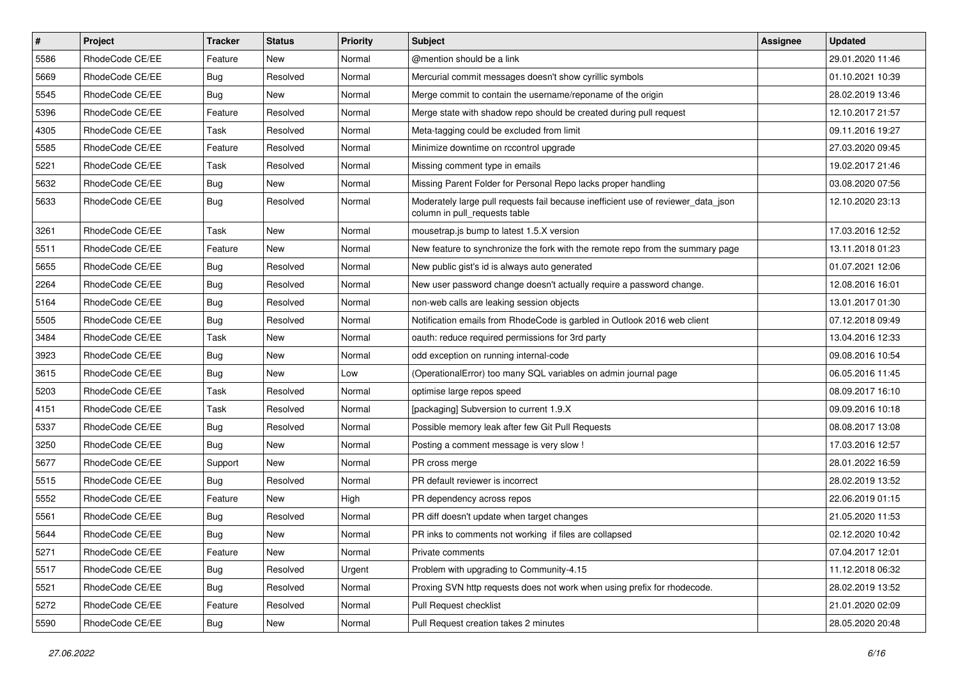| $\sharp$ | Project         | <b>Tracker</b> | <b>Status</b> | <b>Priority</b> | <b>Subject</b>                                                                                                     | <b>Assignee</b> | <b>Updated</b>   |
|----------|-----------------|----------------|---------------|-----------------|--------------------------------------------------------------------------------------------------------------------|-----------------|------------------|
| 5586     | RhodeCode CE/EE | Feature        | New           | Normal          | @mention should be a link                                                                                          |                 | 29.01.2020 11:46 |
| 5669     | RhodeCode CE/EE | Bug            | Resolved      | Normal          | Mercurial commit messages doesn't show cyrillic symbols                                                            |                 | 01.10.2021 10:39 |
| 5545     | RhodeCode CE/EE | Bug            | New           | Normal          | Merge commit to contain the username/reponame of the origin                                                        |                 | 28.02.2019 13:46 |
| 5396     | RhodeCode CE/EE | Feature        | Resolved      | Normal          | Merge state with shadow repo should be created during pull request                                                 |                 | 12.10.2017 21:57 |
| 4305     | RhodeCode CE/EE | Task           | Resolved      | Normal          | Meta-tagging could be excluded from limit                                                                          |                 | 09.11.2016 19:27 |
| 5585     | RhodeCode CE/EE | Feature        | Resolved      | Normal          | Minimize downtime on rccontrol upgrade                                                                             |                 | 27.03.2020 09:45 |
| 5221     | RhodeCode CE/EE | Task           | Resolved      | Normal          | Missing comment type in emails                                                                                     |                 | 19.02.2017 21:46 |
| 5632     | RhodeCode CE/EE | Bug            | New           | Normal          | Missing Parent Folder for Personal Repo lacks proper handling                                                      |                 | 03.08.2020 07:56 |
| 5633     | RhodeCode CE/EE | Bug            | Resolved      | Normal          | Moderately large pull requests fail because inefficient use of reviewer_data_json<br>column in pull requests table |                 | 12.10.2020 23:13 |
| 3261     | RhodeCode CE/EE | Task           | New           | Normal          | mousetrap.js bump to latest 1.5.X version                                                                          |                 | 17.03.2016 12:52 |
| 5511     | RhodeCode CE/EE | Feature        | New           | Normal          | New feature to synchronize the fork with the remote repo from the summary page                                     |                 | 13.11.2018 01:23 |
| 5655     | RhodeCode CE/EE | Bug            | Resolved      | Normal          | New public gist's id is always auto generated                                                                      |                 | 01.07.2021 12:06 |
| 2264     | RhodeCode CE/EE | <b>Bug</b>     | Resolved      | Normal          | New user password change doesn't actually require a password change.                                               |                 | 12.08.2016 16:01 |
| 5164     | RhodeCode CE/EE | <b>Bug</b>     | Resolved      | Normal          | non-web calls are leaking session objects                                                                          |                 | 13.01.2017 01:30 |
| 5505     | RhodeCode CE/EE | Bug            | Resolved      | Normal          | Notification emails from RhodeCode is garbled in Outlook 2016 web client                                           |                 | 07.12.2018 09:49 |
| 3484     | RhodeCode CE/EE | Task           | New           | Normal          | oauth: reduce required permissions for 3rd party                                                                   |                 | 13.04.2016 12:33 |
| 3923     | RhodeCode CE/EE | Bug            | <b>New</b>    | Normal          | odd exception on running internal-code                                                                             |                 | 09.08.2016 10:54 |
| 3615     | RhodeCode CE/EE | Bug            | New           | Low             | (OperationalError) too many SQL variables on admin journal page                                                    |                 | 06.05.2016 11:45 |
| 5203     | RhodeCode CE/EE | Task           | Resolved      | Normal          | optimise large repos speed                                                                                         |                 | 08.09.2017 16:10 |
| 4151     | RhodeCode CE/EE | Task           | Resolved      | Normal          | [packaging] Subversion to current 1.9.X                                                                            |                 | 09.09.2016 10:18 |
| 5337     | RhodeCode CE/EE | Bug            | Resolved      | Normal          | Possible memory leak after few Git Pull Requests                                                                   |                 | 08.08.2017 13:08 |
| 3250     | RhodeCode CE/EE | Bug            | <b>New</b>    | Normal          | Posting a comment message is very slow !                                                                           |                 | 17.03.2016 12:57 |
| 5677     | RhodeCode CE/EE | Support        | New           | Normal          | PR cross merge                                                                                                     |                 | 28.01.2022 16:59 |
| 5515     | RhodeCode CE/EE | Bug            | Resolved      | Normal          | PR default reviewer is incorrect                                                                                   |                 | 28.02.2019 13:52 |
| 5552     | RhodeCode CE/EE | Feature        | New           | High            | PR dependency across repos                                                                                         |                 | 22.06.2019 01:15 |
| 5561     | RhodeCode CE/EE | <b>Bug</b>     | Resolved      | Normal          | PR diff doesn't update when target changes                                                                         |                 | 21.05.2020 11:53 |
| 5644     | RhodeCode CE/EE | <b>Bug</b>     | New           | Normal          | PR inks to comments not working if files are collapsed                                                             |                 | 02.12.2020 10:42 |
| 5271     | RhodeCode CE/EE | Feature        | New           | Normal          | Private comments                                                                                                   |                 | 07.04.2017 12:01 |
| 5517     | RhodeCode CE/EE | Bug            | Resolved      | Urgent          | Problem with upgrading to Community-4.15                                                                           |                 | 11.12.2018 06:32 |
| 5521     | RhodeCode CE/EE | <b>Bug</b>     | Resolved      | Normal          | Proxing SVN http requests does not work when using prefix for rhodecode.                                           |                 | 28.02.2019 13:52 |
| 5272     | RhodeCode CE/EE | Feature        | Resolved      | Normal          | Pull Request checklist                                                                                             |                 | 21.01.2020 02:09 |
| 5590     | RhodeCode CE/EE | <b>Bug</b>     | New           | Normal          | Pull Request creation takes 2 minutes                                                                              |                 | 28.05.2020 20:48 |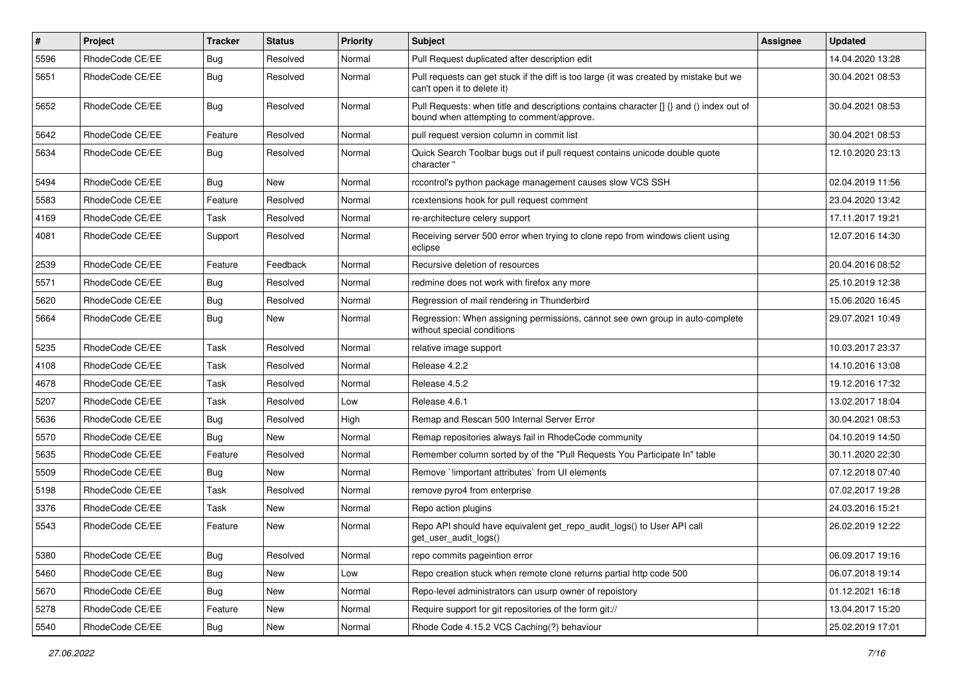| $\sharp$ | Project         | <b>Tracker</b> | <b>Status</b> | <b>Priority</b> | Subject                                                                                                                              | Assignee | <b>Updated</b>   |
|----------|-----------------|----------------|---------------|-----------------|--------------------------------------------------------------------------------------------------------------------------------------|----------|------------------|
| 5596     | RhodeCode CE/EE | <b>Bug</b>     | Resolved      | Normal          | Pull Request duplicated after description edit                                                                                       |          | 14.04.2020 13:28 |
| 5651     | RhodeCode CE/EE | Bug            | Resolved      | Normal          | Pull requests can get stuck if the diff is too large (it was created by mistake but we<br>can't open it to delete it)                |          | 30.04.2021 08:53 |
| 5652     | RhodeCode CE/EE | Bug            | Resolved      | Normal          | Pull Requests: when title and descriptions contains character [] {} and () index out of<br>bound when attempting to comment/approve. |          | 30.04.2021 08:53 |
| 5642     | RhodeCode CE/EE | Feature        | Resolved      | Normal          | pull request version column in commit list                                                                                           |          | 30.04.2021 08:53 |
| 5634     | RhodeCode CE/EE | Bug            | Resolved      | Normal          | Quick Search Toolbar bugs out if pull request contains unicode double quote<br>character "                                           |          | 12.10.2020 23:13 |
| 5494     | RhodeCode CE/EE | Bug            | New           | Normal          | rccontrol's python package management causes slow VCS SSH                                                                            |          | 02.04.2019 11:56 |
| 5583     | RhodeCode CE/EE | Feature        | Resolved      | Normal          | rcextensions hook for pull request comment                                                                                           |          | 23.04.2020 13:42 |
| 4169     | RhodeCode CE/EE | Task           | Resolved      | Normal          | re-architecture celery support                                                                                                       |          | 17.11.2017 19:21 |
| 4081     | RhodeCode CE/EE | Support        | Resolved      | Normal          | Receiving server 500 error when trying to clone repo from windows client using<br>eclipse                                            |          | 12.07.2016 14:30 |
| 2539     | RhodeCode CE/EE | Feature        | Feedback      | Normal          | Recursive deletion of resources                                                                                                      |          | 20.04.2016 08:52 |
| 5571     | RhodeCode CE/EE | Bug            | Resolved      | Normal          | redmine does not work with firefox any more                                                                                          |          | 25.10.2019 12:38 |
| 5620     | RhodeCode CE/EE | Bug            | Resolved      | Normal          | Regression of mail rendering in Thunderbird                                                                                          |          | 15.06.2020 16:45 |
| 5664     | RhodeCode CE/EE | Bug            | New           | Normal          | Regression: When assigning permissions, cannot see own group in auto-complete<br>without special conditions                          |          | 29.07.2021 10:49 |
| 5235     | RhodeCode CE/EE | Task           | Resolved      | Normal          | relative image support                                                                                                               |          | 10.03.2017 23:37 |
| 4108     | RhodeCode CE/EE | Task           | Resolved      | Normal          | Release 4.2.2                                                                                                                        |          | 14.10.2016 13:08 |
| 4678     | RhodeCode CE/EE | Task           | Resolved      | Normal          | Release 4.5.2                                                                                                                        |          | 19.12.2016 17:32 |
| 5207     | RhodeCode CE/EE | Task           | Resolved      | Low             | Release 4.6.1                                                                                                                        |          | 13.02.2017 18:04 |
| 5636     | RhodeCode CE/EE | Bug            | Resolved      | High            | Remap and Rescan 500 Internal Server Error                                                                                           |          | 30.04.2021 08:53 |
| 5570     | RhodeCode CE/EE | Bug            | New           | Normal          | Remap repositories always fail in RhodeCode community                                                                                |          | 04.10.2019 14:50 |
| 5635     | RhodeCode CE/EE | Feature        | Resolved      | Normal          | Remember column sorted by of the "Pull Requests You Participate In" table                                                            |          | 30.11.2020 22:30 |
| 5509     | RhodeCode CE/EE | <b>Bug</b>     | New           | Normal          | Remove `limportant attributes` from UI elements                                                                                      |          | 07.12.2018 07:40 |
| 5198     | RhodeCode CE/EE | Task           | Resolved      | Normal          | remove pyro4 from enterprise                                                                                                         |          | 07.02.2017 19:28 |
| 3376     | RhodeCode CE/EE | Task           | New           | Normal          | Repo action plugins                                                                                                                  |          | 24.03.2016 15:21 |
| 5543     | RhodeCode CE/EE | Feature        | <b>New</b>    | Normal          | Repo API should have equivalent get_repo_audit_logs() to User API call<br>get_user_audit_logs()                                      |          | 26.02.2019 12:22 |
| 5380     | RhodeCode CE/EE | Bug            | Resolved      | Normal          | repo commits pageintion error                                                                                                        |          | 06.09.2017 19:16 |
| 5460     | RhodeCode CE/EE | <b>Bug</b>     | New           | Low             | Repo creation stuck when remote clone returns partial http code 500                                                                  |          | 06.07.2018 19:14 |
| 5670     | RhodeCode CE/EE | Bug            | New           | Normal          | Repo-level administrators can usurp owner of repoistory                                                                              |          | 01.12.2021 16:18 |
| 5278     | RhodeCode CE/EE | Feature        | New           | Normal          | Require support for git repositories of the form git://                                                                              |          | 13.04.2017 15:20 |
| 5540     | RhodeCode CE/EE | Bug            | New           | Normal          | Rhode Code 4.15.2 VCS Caching(?) behaviour                                                                                           |          | 25.02.2019 17:01 |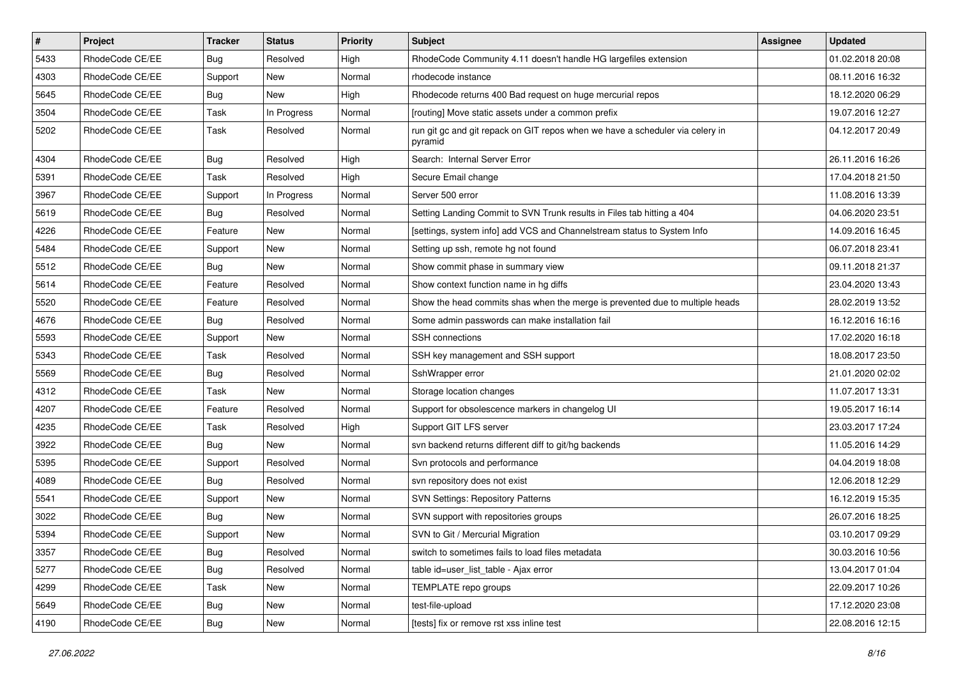| $\pmb{\#}$ | Project         | <b>Tracker</b> | <b>Status</b> | <b>Priority</b> | <b>Subject</b>                                                                           | <b>Assignee</b> | <b>Updated</b>   |
|------------|-----------------|----------------|---------------|-----------------|------------------------------------------------------------------------------------------|-----------------|------------------|
| 5433       | RhodeCode CE/EE | Bug            | Resolved      | High            | RhodeCode Community 4.11 doesn't handle HG largefiles extension                          |                 | 01.02.2018 20:08 |
| 4303       | RhodeCode CE/EE | Support        | <b>New</b>    | Normal          | rhodecode instance                                                                       |                 | 08.11.2016 16:32 |
| 5645       | RhodeCode CE/EE | Bug            | New           | High            | Rhodecode returns 400 Bad request on huge mercurial repos                                |                 | 18.12.2020 06:29 |
| 3504       | RhodeCode CE/EE | Task           | In Progress   | Normal          | [routing] Move static assets under a common prefix                                       |                 | 19.07.2016 12:27 |
| 5202       | RhodeCode CE/EE | Task           | Resolved      | Normal          | run git gc and git repack on GIT repos when we have a scheduler via celery in<br>pyramid |                 | 04.12.2017 20:49 |
| 4304       | RhodeCode CE/EE | Bug            | Resolved      | High            | Search: Internal Server Error                                                            |                 | 26.11.2016 16:26 |
| 5391       | RhodeCode CE/EE | Task           | Resolved      | High            | Secure Email change                                                                      |                 | 17.04.2018 21:50 |
| 3967       | RhodeCode CE/EE | Support        | In Progress   | Normal          | Server 500 error                                                                         |                 | 11.08.2016 13:39 |
| 5619       | RhodeCode CE/EE | Bug            | Resolved      | Normal          | Setting Landing Commit to SVN Trunk results in Files tab hitting a 404                   |                 | 04.06.2020 23:51 |
| 4226       | RhodeCode CE/EE | Feature        | New           | Normal          | [settings, system info] add VCS and Channelstream status to System Info                  |                 | 14.09.2016 16:45 |
| 5484       | RhodeCode CE/EE | Support        | New           | Normal          | Setting up ssh, remote hg not found                                                      |                 | 06.07.2018 23:41 |
| 5512       | RhodeCode CE/EE | Bug            | <b>New</b>    | Normal          | Show commit phase in summary view                                                        |                 | 09.11.2018 21:37 |
| 5614       | RhodeCode CE/EE | Feature        | Resolved      | Normal          | Show context function name in hg diffs                                                   |                 | 23.04.2020 13:43 |
| 5520       | RhodeCode CE/EE | Feature        | Resolved      | Normal          | Show the head commits shas when the merge is prevented due to multiple heads             |                 | 28.02.2019 13:52 |
| 4676       | RhodeCode CE/EE | Bug            | Resolved      | Normal          | Some admin passwords can make installation fail                                          |                 | 16.12.2016 16:16 |
| 5593       | RhodeCode CE/EE | Support        | <b>New</b>    | Normal          | SSH connections                                                                          |                 | 17.02.2020 16:18 |
| 5343       | RhodeCode CE/EE | <b>Task</b>    | Resolved      | Normal          | SSH key management and SSH support                                                       |                 | 18.08.2017 23:50 |
| 5569       | RhodeCode CE/EE | Bug            | Resolved      | Normal          | SshWrapper error                                                                         |                 | 21.01.2020 02:02 |
| 4312       | RhodeCode CE/EE | Task           | <b>New</b>    | Normal          | Storage location changes                                                                 |                 | 11.07.2017 13:31 |
| 4207       | RhodeCode CE/EE | Feature        | Resolved      | Normal          | Support for obsolescence markers in changelog UI                                         |                 | 19.05.2017 16:14 |
| 4235       | RhodeCode CE/EE | Task           | Resolved      | High            | Support GIT LFS server                                                                   |                 | 23.03.2017 17:24 |
| 3922       | RhodeCode CE/EE | Bug            | New           | Normal          | svn backend returns different diff to git/hg backends                                    |                 | 11.05.2016 14:29 |
| 5395       | RhodeCode CE/EE | Support        | Resolved      | Normal          | Svn protocols and performance                                                            |                 | 04.04.2019 18:08 |
| 4089       | RhodeCode CE/EE | Bug            | Resolved      | Normal          | svn repository does not exist                                                            |                 | 12.06.2018 12:29 |
| 5541       | RhodeCode CE/EE | Support        | <b>New</b>    | Normal          | <b>SVN Settings: Repository Patterns</b>                                                 |                 | 16.12.2019 15:35 |
| 3022       | RhodeCode CE/EE | Bug            | New           | Normal          | SVN support with repositories groups                                                     |                 | 26.07.2016 18:25 |
| 5394       | RhodeCode CE/EE | Support        | New           | Normal          | SVN to Git / Mercurial Migration                                                         |                 | 03.10.2017 09:29 |
| 3357       | RhodeCode CE/EE | <b>Bug</b>     | Resolved      | Normal          | switch to sometimes fails to load files metadata                                         |                 | 30.03.2016 10:56 |
| 5277       | RhodeCode CE/EE | Bug            | Resolved      | Normal          | table id=user list table - Ajax error                                                    |                 | 13.04.2017 01:04 |
| 4299       | RhodeCode CE/EE | Task           | New           | Normal          | TEMPLATE repo groups                                                                     |                 | 22.09.2017 10:26 |
| 5649       | RhodeCode CE/EE | <b>Bug</b>     | New           | Normal          | test-file-upload                                                                         |                 | 17.12.2020 23:08 |
| 4190       | RhodeCode CE/EE | Bug            | New           | Normal          | [tests] fix or remove rst xss inline test                                                |                 | 22.08.2016 12:15 |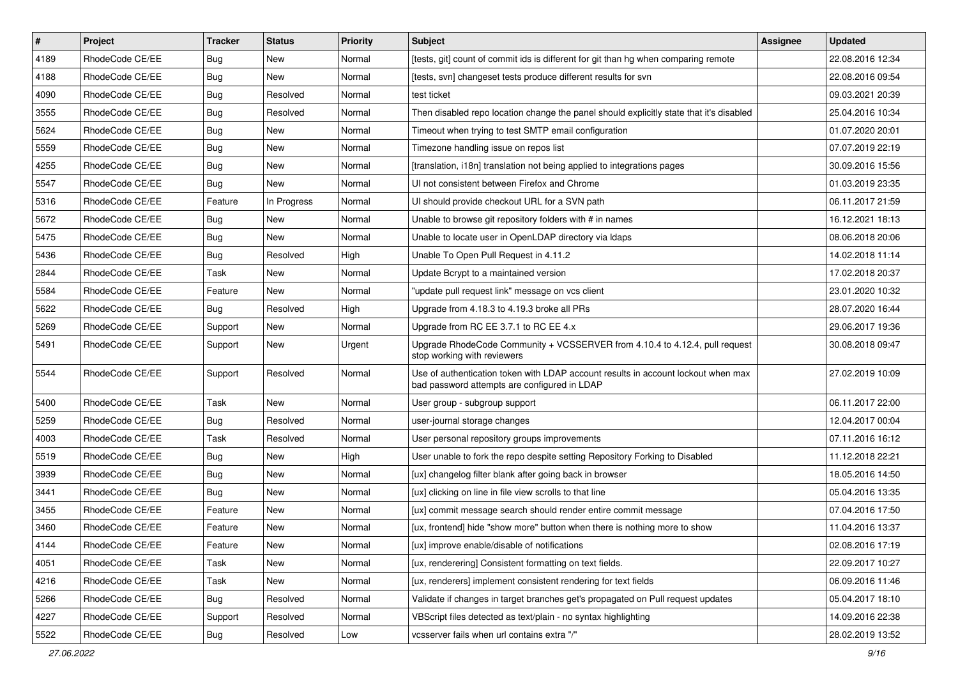| $\vert$ # | Project         | <b>Tracker</b> | <b>Status</b> | <b>Priority</b> | Subject                                                                                                                           | <b>Assignee</b> | <b>Updated</b>   |
|-----------|-----------------|----------------|---------------|-----------------|-----------------------------------------------------------------------------------------------------------------------------------|-----------------|------------------|
| 4189      | RhodeCode CE/EE | Bug            | New           | Normal          | [tests, git] count of commit ids is different for git than hg when comparing remote                                               |                 | 22.08.2016 12:34 |
| 4188      | RhodeCode CE/EE | Bug            | New           | Normal          | [tests, svn] changeset tests produce different results for svn                                                                    |                 | 22.08.2016 09:54 |
| 4090      | RhodeCode CE/EE | Bug            | Resolved      | Normal          | test ticket                                                                                                                       |                 | 09.03.2021 20:39 |
| 3555      | RhodeCode CE/EE | <b>Bug</b>     | Resolved      | Normal          | Then disabled repo location change the panel should explicitly state that it's disabled                                           |                 | 25.04.2016 10:34 |
| 5624      | RhodeCode CE/EE | Bug            | New           | Normal          | Timeout when trying to test SMTP email configuration                                                                              |                 | 01.07.2020 20:01 |
| 5559      | RhodeCode CE/EE | Bug            | New           | Normal          | Timezone handling issue on repos list                                                                                             |                 | 07.07.2019 22:19 |
| 4255      | RhodeCode CE/EE | Bug            | New           | Normal          | [translation, i18n] translation not being applied to integrations pages                                                           |                 | 30.09.2016 15:56 |
| 5547      | RhodeCode CE/EE | Bug            | <b>New</b>    | Normal          | UI not consistent between Firefox and Chrome                                                                                      |                 | 01.03.2019 23:35 |
| 5316      | RhodeCode CE/EE | Feature        | In Progress   | Normal          | UI should provide checkout URL for a SVN path                                                                                     |                 | 06.11.2017 21:59 |
| 5672      | RhodeCode CE/EE | Bug            | <b>New</b>    | Normal          | Unable to browse git repository folders with # in names                                                                           |                 | 16.12.2021 18:13 |
| 5475      | RhodeCode CE/EE | Bug            | New           | Normal          | Unable to locate user in OpenLDAP directory via Idaps                                                                             |                 | 08.06.2018 20:06 |
| 5436      | RhodeCode CE/EE | Bug            | Resolved      | High            | Unable To Open Pull Request in 4.11.2                                                                                             |                 | 14.02.2018 11:14 |
| 2844      | RhodeCode CE/EE | Task           | <b>New</b>    | Normal          | Update Bcrypt to a maintained version                                                                                             |                 | 17.02.2018 20:37 |
| 5584      | RhodeCode CE/EE | Feature        | New           | Normal          | "update pull request link" message on vcs client                                                                                  |                 | 23.01.2020 10:32 |
| 5622      | RhodeCode CE/EE | Bug            | Resolved      | High            | Upgrade from 4.18.3 to 4.19.3 broke all PRs                                                                                       |                 | 28.07.2020 16:44 |
| 5269      | RhodeCode CE/EE | Support        | <b>New</b>    | Normal          | Upgrade from RC EE 3.7.1 to RC EE 4.x                                                                                             |                 | 29.06.2017 19:36 |
| 5491      | RhodeCode CE/EE | Support        | New           | Urgent          | Upgrade RhodeCode Community + VCSSERVER from 4.10.4 to 4.12.4, pull request<br>stop working with reviewers                        |                 | 30.08.2018 09:47 |
| 5544      | RhodeCode CE/EE | Support        | Resolved      | Normal          | Use of authentication token with LDAP account results in account lockout when max<br>bad password attempts are configured in LDAP |                 | 27.02.2019 10:09 |
| 5400      | RhodeCode CE/EE | Task           | <b>New</b>    | Normal          | User group - subgroup support                                                                                                     |                 | 06.11.2017 22:00 |
| 5259      | RhodeCode CE/EE | Bug            | Resolved      | Normal          | user-journal storage changes                                                                                                      |                 | 12.04.2017 00:04 |
| 4003      | RhodeCode CE/EE | Task           | Resolved      | Normal          | User personal repository groups improvements                                                                                      |                 | 07.11.2016 16:12 |
| 5519      | RhodeCode CE/EE | Bug            | <b>New</b>    | High            | User unable to fork the repo despite setting Repository Forking to Disabled                                                       |                 | 11.12.2018 22:21 |
| 3939      | RhodeCode CE/EE | Bug            | New           | Normal          | [ux] changelog filter blank after going back in browser                                                                           |                 | 18.05.2016 14:50 |
| 3441      | RhodeCode CE/EE | Bug            | <b>New</b>    | Normal          | [ux] clicking on line in file view scrolls to that line                                                                           |                 | 05.04.2016 13:35 |
| 3455      | RhodeCode CE/EE | Feature        | New           | Normal          | [ux] commit message search should render entire commit message                                                                    |                 | 07.04.2016 17:50 |
| 3460      | RhodeCode CE/EE | Feature        | New           | Normal          | [ux, frontend] hide "show more" button when there is nothing more to show                                                         |                 | 11.04.2016 13:37 |
| 4144      | RhodeCode CE/EE | Feature        | New           | Normal          | [ux] improve enable/disable of notifications                                                                                      |                 | 02.08.2016 17:19 |
| 4051      | RhodeCode CE/EE | Task           | New           | Normal          | [ux, renderering] Consistent formatting on text fields.                                                                           |                 | 22.09.2017 10:27 |
| 4216      | RhodeCode CE/EE | Task           | New           | Normal          | [ux, renderers] implement consistent rendering for text fields                                                                    |                 | 06.09.2016 11:46 |
| 5266      | RhodeCode CE/EE | <b>Bug</b>     | Resolved      | Normal          | Validate if changes in target branches get's propagated on Pull request updates                                                   |                 | 05.04.2017 18:10 |
| 4227      | RhodeCode CE/EE | Support        | Resolved      | Normal          | VBScript files detected as text/plain - no syntax highlighting                                                                    |                 | 14.09.2016 22:38 |
| 5522      | RhodeCode CE/EE | <b>Bug</b>     | Resolved      | Low             | vcsserver fails when url contains extra "/"                                                                                       |                 | 28.02.2019 13:52 |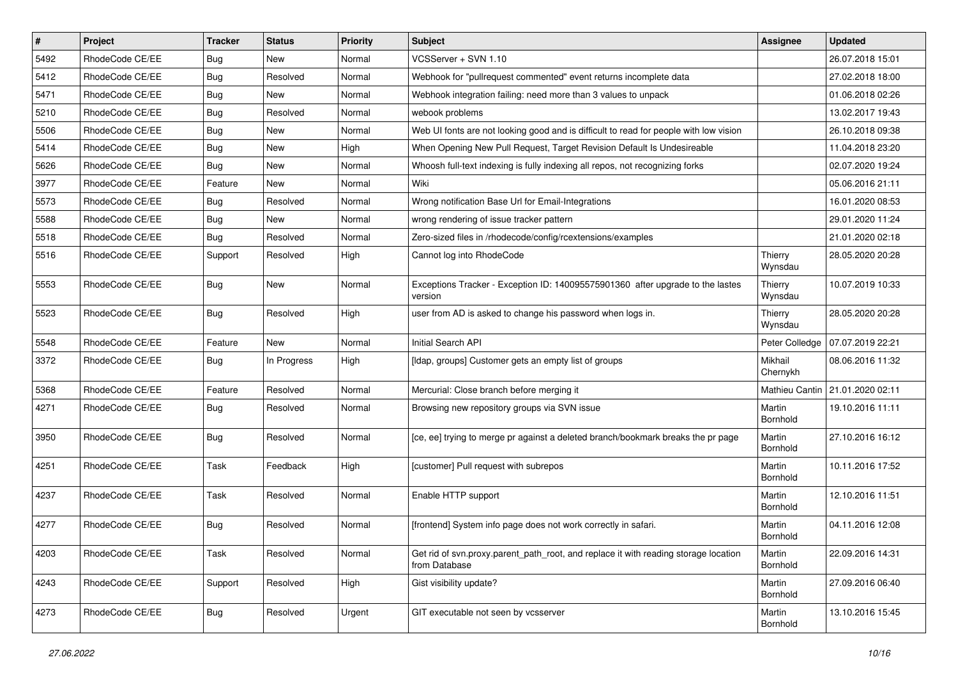| $\vert$ # | Project         | <b>Tracker</b> | <b>Status</b> | Priority | Subject                                                                                              | <b>Assignee</b>     | <b>Updated</b>                    |
|-----------|-----------------|----------------|---------------|----------|------------------------------------------------------------------------------------------------------|---------------------|-----------------------------------|
| 5492      | RhodeCode CE/EE | Bug            | New           | Normal   | VCSServer + SVN 1.10                                                                                 |                     | 26.07.2018 15:01                  |
| 5412      | RhodeCode CE/EE | Bug            | Resolved      | Normal   | Webhook for "pullrequest commented" event returns incomplete data                                    |                     | 27.02.2018 18:00                  |
| 5471      | RhodeCode CE/EE | Bug            | New           | Normal   | Webhook integration failing: need more than 3 values to unpack                                       |                     | 01.06.2018 02:26                  |
| 5210      | RhodeCode CE/EE | Bug            | Resolved      | Normal   | webook problems                                                                                      |                     | 13.02.2017 19:43                  |
| 5506      | RhodeCode CE/EE | <b>Bug</b>     | <b>New</b>    | Normal   | Web UI fonts are not looking good and is difficult to read for people with low vision                |                     | 26.10.2018 09:38                  |
| 5414      | RhodeCode CE/EE | Bug            | New           | High     | When Opening New Pull Request, Target Revision Default Is Undesireable                               |                     | 11.04.2018 23:20                  |
| 5626      | RhodeCode CE/EE | Bug            | <b>New</b>    | Normal   | Whoosh full-text indexing is fully indexing all repos, not recognizing forks                         |                     | 02.07.2020 19:24                  |
| 3977      | RhodeCode CE/EE | Feature        | New           | Normal   | Wiki                                                                                                 |                     | 05.06.2016 21:11                  |
| 5573      | RhodeCode CE/EE | Bug            | Resolved      | Normal   | Wrong notification Base Url for Email-Integrations                                                   |                     | 16.01.2020 08:53                  |
| 5588      | RhodeCode CE/EE | <b>Bug</b>     | <b>New</b>    | Normal   | wrong rendering of issue tracker pattern                                                             |                     | 29.01.2020 11:24                  |
| 5518      | RhodeCode CE/EE | Bug            | Resolved      | Normal   | Zero-sized files in /rhodecode/config/rcextensions/examples                                          |                     | 21.01.2020 02:18                  |
| 5516      | RhodeCode CE/EE | Support        | Resolved      | High     | Cannot log into RhodeCode                                                                            | Thierry<br>Wynsdau  | 28.05.2020 20:28                  |
| 5553      | RhodeCode CE/EE | Bug            | New           | Normal   | Exceptions Tracker - Exception ID: 140095575901360 after upgrade to the lastes<br>version            | Thierry<br>Wynsdau  | 10.07.2019 10:33                  |
| 5523      | RhodeCode CE/EE | Bug            | Resolved      | High     | user from AD is asked to change his password when logs in.                                           | Thierry<br>Wynsdau  | 28.05.2020 20:28                  |
| 5548      | RhodeCode CE/EE | Feature        | <b>New</b>    | Normal   | Initial Search API                                                                                   | Peter Colledge      | 07.07.2019 22:21                  |
| 3372      | RhodeCode CE/EE | Bug            | In Progress   | High     | [Idap, groups] Customer gets an empty list of groups                                                 | Mikhail<br>Chernykh | 08.06.2016 11:32                  |
| 5368      | RhodeCode CE/EE | Feature        | Resolved      | Normal   | Mercurial: Close branch before merging it                                                            |                     | Mathieu Cantin   21.01.2020 02:11 |
| 4271      | RhodeCode CE/EE | Bug            | Resolved      | Normal   | Browsing new repository groups via SVN issue                                                         | Martin<br>Bornhold  | 19.10.2016 11:11                  |
| 3950      | RhodeCode CE/EE | Bug            | Resolved      | Normal   | [ce, ee] trying to merge pr against a deleted branch/bookmark breaks the pr page                     | Martin<br>Bornhold  | 27.10.2016 16:12                  |
| 4251      | RhodeCode CE/EE | Task           | Feedback      | High     | [customer] Pull request with subrepos                                                                | Martin<br>Bornhold  | 10.11.2016 17:52                  |
| 4237      | RhodeCode CE/EE | Task           | Resolved      | Normal   | Enable HTTP support                                                                                  | Martin<br>Bornhold  | 12.10.2016 11:51                  |
| 4277      | RhodeCode CE/EE | Bug            | Resolved      | Normal   | [frontend] System info page does not work correctly in safari.                                       | Martin<br>Bornhold  | 04.11.2016 12:08                  |
| 4203      | RhodeCode CE/EE | Task           | Resolved      | Normal   | Get rid of svn.proxy.parent_path_root, and replace it with reading storage location<br>from Database | Martin<br>Bornhold  | 22.09.2016 14:31                  |
| 4243      | RhodeCode CE/EE | Support        | Resolved      | High     | Gist visibility update?                                                                              | Martin<br>Bornhold  | 27.09.2016 06:40                  |
| 4273      | RhodeCode CE/EE | <b>Bug</b>     | Resolved      | Urgent   | GIT executable not seen by vcsserver                                                                 | Martin<br>Bornhold  | 13.10.2016 15:45                  |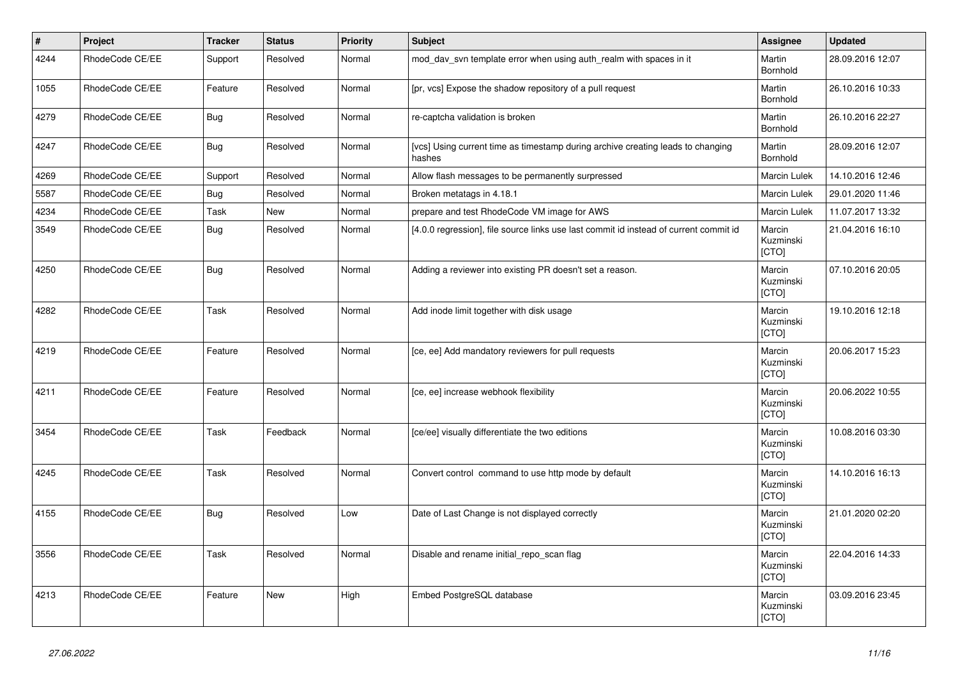| $\vert$ # | Project         | <b>Tracker</b> | <b>Status</b> | <b>Priority</b> | <b>Subject</b>                                                                            | Assignee                     | <b>Updated</b>   |
|-----------|-----------------|----------------|---------------|-----------------|-------------------------------------------------------------------------------------------|------------------------------|------------------|
| 4244      | RhodeCode CE/EE | Support        | Resolved      | Normal          | mod day syn template error when using auth realm with spaces in it                        | Martin<br>Bornhold           | 28.09.2016 12:07 |
| 1055      | RhodeCode CE/EE | Feature        | Resolved      | Normal          | [pr, vcs] Expose the shadow repository of a pull request                                  | Martin<br>Bornhold           | 26.10.2016 10:33 |
| 4279      | RhodeCode CE/EE | <b>Bug</b>     | Resolved      | Normal          | re-captcha validation is broken                                                           | Martin<br><b>Bornhold</b>    | 26.10.2016 22:27 |
| 4247      | RhodeCode CE/EE | Bug            | Resolved      | Normal          | [vcs] Using current time as timestamp during archive creating leads to changing<br>hashes | Martin<br>Bornhold           | 28.09.2016 12:07 |
| 4269      | RhodeCode CE/EE | Support        | Resolved      | Normal          | Allow flash messages to be permanently surpressed                                         | Marcin Lulek                 | 14.10.2016 12:46 |
| 5587      | RhodeCode CE/EE | <b>Bug</b>     | Resolved      | Normal          | Broken metatags in 4.18.1                                                                 | Marcin Lulek                 | 29.01.2020 11:46 |
| 4234      | RhodeCode CE/EE | Task           | <b>New</b>    | Normal          | prepare and test RhodeCode VM image for AWS                                               | Marcin Lulek                 | 11.07.2017 13:32 |
| 3549      | RhodeCode CE/EE | Bug            | Resolved      | Normal          | [4.0.0 regression], file source links use last commit id instead of current commit id     | Marcin<br>Kuzminski<br>[CTO] | 21.04.2016 16:10 |
| 4250      | RhodeCode CE/EE | Bug            | Resolved      | Normal          | Adding a reviewer into existing PR doesn't set a reason.                                  | Marcin<br>Kuzminski<br>[CTO] | 07.10.2016 20:05 |
| 4282      | RhodeCode CE/EE | Task           | Resolved      | Normal          | Add inode limit together with disk usage                                                  | Marcin<br>Kuzminski<br>[CTO] | 19.10.2016 12:18 |
| 4219      | RhodeCode CE/EE | Feature        | Resolved      | Normal          | [ce, ee] Add mandatory reviewers for pull requests                                        | Marcin<br>Kuzminski<br>[CTO] | 20.06.2017 15:23 |
| 4211      | RhodeCode CE/EE | Feature        | Resolved      | Normal          | [ce, ee] increase webhook flexibility                                                     | Marcin<br>Kuzminski<br>[CTO] | 20.06.2022 10:55 |
| 3454      | RhodeCode CE/EE | Task           | Feedback      | Normal          | [ce/ee] visually differentiate the two editions                                           | Marcin<br>Kuzminski<br>[CTO] | 10.08.2016 03:30 |
| 4245      | RhodeCode CE/EE | Task           | Resolved      | Normal          | Convert control command to use http mode by default                                       | Marcin<br>Kuzminski<br>[CTO] | 14.10.2016 16:13 |
| 4155      | RhodeCode CE/EE | Bug            | Resolved      | Low             | Date of Last Change is not displayed correctly                                            | Marcin<br>Kuzminski<br>[CTO] | 21.01.2020 02:20 |
| 3556      | RhodeCode CE/EE | Task           | Resolved      | Normal          | Disable and rename initial_repo_scan flag                                                 | Marcin<br>Kuzminski<br>[CTO] | 22.04.2016 14:33 |
| 4213      | RhodeCode CE/EE | Feature        | <b>New</b>    | High            | Embed PostgreSQL database                                                                 | Marcin<br>Kuzminski<br>[CTO] | 03.09.2016 23:45 |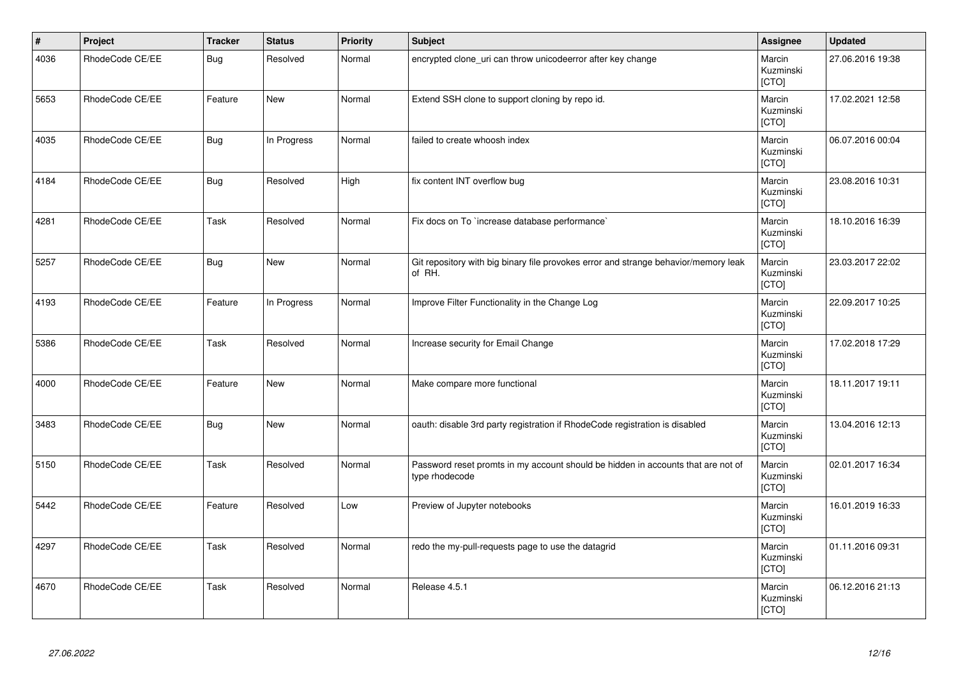| $\vert$ # | Project         | <b>Tracker</b> | <b>Status</b> | <b>Priority</b> | <b>Subject</b>                                                                                     | Assignee                            | <b>Updated</b>   |
|-----------|-----------------|----------------|---------------|-----------------|----------------------------------------------------------------------------------------------------|-------------------------------------|------------------|
| 4036      | RhodeCode CE/EE | <b>Bug</b>     | Resolved      | Normal          | encrypted clone_uri can throw unicodeerror after key change                                        | Marcin<br>Kuzminski<br>[CTO]        | 27.06.2016 19:38 |
| 5653      | RhodeCode CE/EE | Feature        | New           | Normal          | Extend SSH clone to support cloning by repo id.                                                    | Marcin<br>Kuzminski<br>[CTO]        | 17.02.2021 12:58 |
| 4035      | RhodeCode CE/EE | <b>Bug</b>     | In Progress   | Normal          | failed to create whoosh index                                                                      | Marcin<br>Kuzminski<br><b>[CTO]</b> | 06.07.2016 00:04 |
| 4184      | RhodeCode CE/EE | <b>Bug</b>     | Resolved      | High            | fix content INT overflow bug                                                                       | Marcin<br>Kuzminski<br>[CTO]        | 23.08.2016 10:31 |
| 4281      | RhodeCode CE/EE | Task           | Resolved      | Normal          | Fix docs on To `increase database performance`                                                     | Marcin<br>Kuzminski<br>[CTO]        | 18.10.2016 16:39 |
| 5257      | RhodeCode CE/EE | <b>Bug</b>     | <b>New</b>    | Normal          | Git repository with big binary file provokes error and strange behavior/memory leak<br>of RH.      | Marcin<br>Kuzminski<br>[CTO]        | 23.03.2017 22:02 |
| 4193      | RhodeCode CE/EE | Feature        | In Progress   | Normal          | Improve Filter Functionality in the Change Log                                                     | Marcin<br>Kuzminski<br>[CTO]        | 22.09.2017 10:25 |
| 5386      | RhodeCode CE/EE | Task           | Resolved      | Normal          | Increase security for Email Change                                                                 | Marcin<br>Kuzminski<br>[CTO]        | 17.02.2018 17:29 |
| 4000      | RhodeCode CE/EE | Feature        | <b>New</b>    | Normal          | Make compare more functional                                                                       | Marcin<br>Kuzminski<br>[CTO]        | 18.11.2017 19:11 |
| 3483      | RhodeCode CE/EE | Bug            | New           | Normal          | oauth: disable 3rd party registration if RhodeCode registration is disabled                        | Marcin<br>Kuzminski<br>[CTO]        | 13.04.2016 12:13 |
| 5150      | RhodeCode CE/EE | Task           | Resolved      | Normal          | Password reset promts in my account should be hidden in accounts that are not of<br>type rhodecode | Marcin<br>Kuzminski<br>[CTO]        | 02.01.2017 16:34 |
| 5442      | RhodeCode CE/EE | Feature        | Resolved      | Low             | Preview of Jupyter notebooks                                                                       | Marcin<br>Kuzminski<br>[CTO]        | 16.01.2019 16:33 |
| 4297      | RhodeCode CE/EE | Task           | Resolved      | Normal          | redo the my-pull-requests page to use the datagrid                                                 | Marcin<br>Kuzminski<br>[CTO]        | 01.11.2016 09:31 |
| 4670      | RhodeCode CE/EE | Task           | Resolved      | Normal          | Release 4.5.1                                                                                      | Marcin<br>Kuzminski<br>[CTO]        | 06.12.2016 21:13 |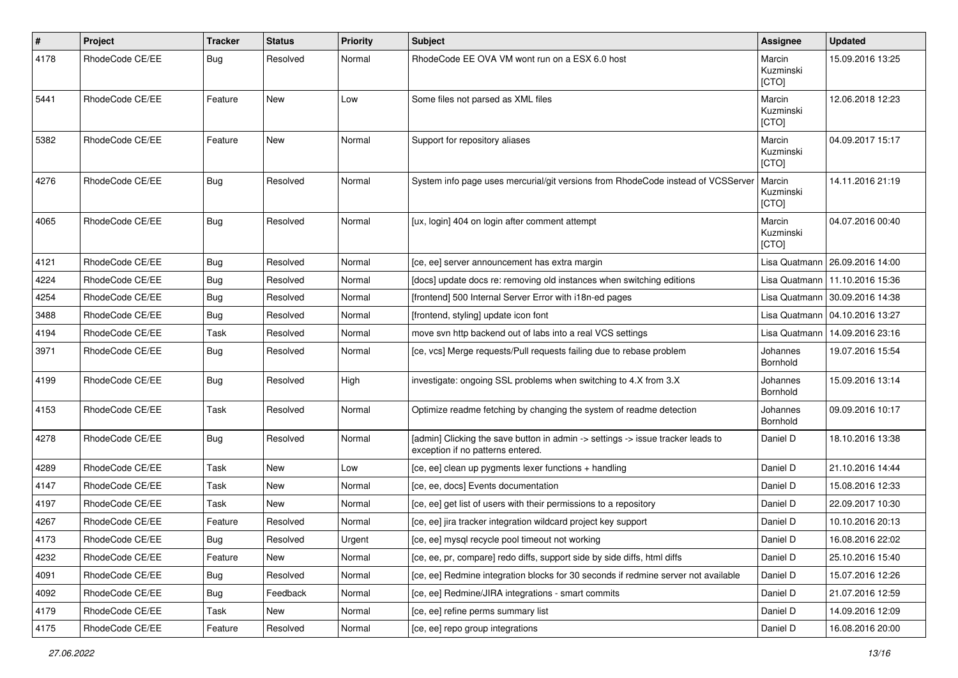| $\sharp$ | Project         | <b>Tracker</b> | <b>Status</b> | <b>Priority</b> | <b>Subject</b>                                                                                                       | <b>Assignee</b>              | <b>Updated</b>                   |
|----------|-----------------|----------------|---------------|-----------------|----------------------------------------------------------------------------------------------------------------------|------------------------------|----------------------------------|
| 4178     | RhodeCode CE/EE | Bug            | Resolved      | Normal          | RhodeCode EE OVA VM wont run on a ESX 6.0 host                                                                       | Marcin<br>Kuzminski<br>[CTO] | 15.09.2016 13:25                 |
| 5441     | RhodeCode CE/EE | Feature        | New           | Low             | Some files not parsed as XML files                                                                                   | Marcin<br>Kuzminski<br>[CTO] | 12.06.2018 12:23                 |
| 5382     | RhodeCode CE/EE | Feature        | New           | Normal          | Support for repository aliases                                                                                       | Marcin<br>Kuzminski<br>[CTO] | 04.09.2017 15:17                 |
| 4276     | RhodeCode CE/EE | Bug            | Resolved      | Normal          | System info page uses mercurial/git versions from RhodeCode instead of VCSServer                                     | Marcin<br>Kuzminski<br>[CTO] | 14.11.2016 21:19                 |
| 4065     | RhodeCode CE/EE | Bug            | Resolved      | Normal          | [ux, login] 404 on login after comment attempt                                                                       | Marcin<br>Kuzminski<br>[CTO] | 04.07.2016 00:40                 |
| 4121     | RhodeCode CE/EE | Bug            | Resolved      | Normal          | [ce, ee] server announcement has extra margin                                                                        |                              | Lisa Quatmann   26.09.2016 14:00 |
| 4224     | RhodeCode CE/EE | Bug            | Resolved      | Normal          | [docs] update docs re: removing old instances when switching editions                                                | Lisa Quatmann                | 11.10.2016 15:36                 |
| 4254     | RhodeCode CE/EE | Bug            | Resolved      | Normal          | [frontend] 500 Internal Server Error with i18n-ed pages                                                              | Lisa Quatmann                | 30.09.2016 14:38                 |
| 3488     | RhodeCode CE/EE | Bug            | Resolved      | Normal          | [frontend, styling] update icon font                                                                                 | Lisa Quatmann                | 04.10.2016 13:27                 |
| 4194     | RhodeCode CE/EE | Task           | Resolved      | Normal          | move svn http backend out of labs into a real VCS settings                                                           | Lisa Quatmann                | 14.09.2016 23:16                 |
| 3971     | RhodeCode CE/EE | Bug            | Resolved      | Normal          | [ce, vcs] Merge requests/Pull requests failing due to rebase problem                                                 | Johannes<br>Bornhold         | 19.07.2016 15:54                 |
| 4199     | RhodeCode CE/EE | Bug            | Resolved      | High            | investigate: ongoing SSL problems when switching to 4.X from 3.X                                                     | Johannes<br>Bornhold         | 15.09.2016 13:14                 |
| 4153     | RhodeCode CE/EE | Task           | Resolved      | Normal          | Optimize readme fetching by changing the system of readme detection                                                  | Johannes<br>Bornhold         | 09.09.2016 10:17                 |
| 4278     | RhodeCode CE/EE | Bug            | Resolved      | Normal          | [admin] Clicking the save button in admin -> settings -> issue tracker leads to<br>exception if no patterns entered. | Daniel D                     | 18.10.2016 13:38                 |
| 4289     | RhodeCode CE/EE | Task           | New           | Low             | [ce, ee] clean up pygments lexer functions + handling                                                                | Daniel D                     | 21.10.2016 14:44                 |
| 4147     | RhodeCode CE/EE | Task           | <b>New</b>    | Normal          | [ce, ee, docs] Events documentation                                                                                  | Daniel D                     | 15.08.2016 12:33                 |
| 4197     | RhodeCode CE/EE | Task           | New           | Normal          | [ce, ee] get list of users with their permissions to a repository                                                    | Daniel D                     | 22.09.2017 10:30                 |
| 4267     | RhodeCode CE/EE | Feature        | Resolved      | Normal          | [ce, ee] jira tracker integration wildcard project key support                                                       | Daniel D                     | 10.10.2016 20:13                 |
| 4173     | RhodeCode CE/EE | Bug            | Resolved      | Urgent          | [ce, ee] mysql recycle pool timeout not working                                                                      | Daniel D                     | 16.08.2016 22:02                 |
| 4232     | RhodeCode CE/EE | Feature        | New           | Normal          | [ce, ee, pr, compare] redo diffs, support side by side diffs, html diffs                                             | Daniel D                     | 25.10.2016 15:40                 |
| 4091     | RhodeCode CE/EE | Bug            | Resolved      | Normal          | [ce, ee] Redmine integration blocks for 30 seconds if redmine server not available                                   | Daniel D                     | 15.07.2016 12:26                 |
| 4092     | RhodeCode CE/EE | Bug            | Feedback      | Normal          | [ce, ee] Redmine/JIRA integrations - smart commits                                                                   | Daniel D                     | 21.07.2016 12:59                 |
| 4179     | RhodeCode CE/EE | Task           | New           | Normal          | [ce, ee] refine perms summary list                                                                                   | Daniel D                     | 14.09.2016 12:09                 |
| 4175     | RhodeCode CE/EE | Feature        | Resolved      | Normal          | [ce, ee] repo group integrations                                                                                     | Daniel D                     | 16.08.2016 20:00                 |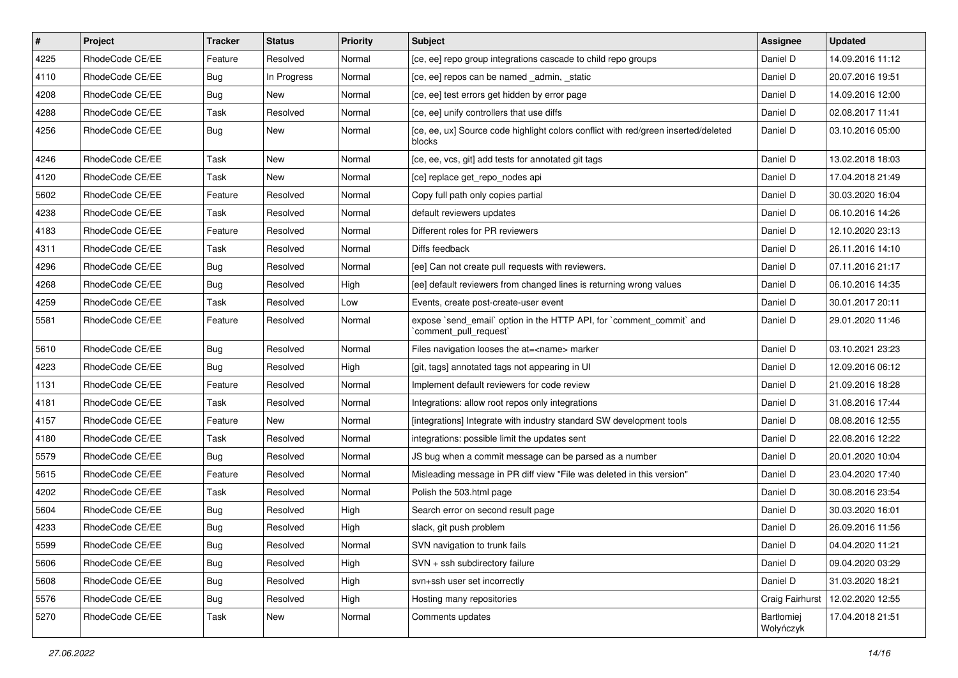| $\vert$ # | Project         | <b>Tracker</b> | <b>Status</b> | <b>Priority</b> | <b>Subject</b>                                                                                 | Assignee                | <b>Updated</b>   |
|-----------|-----------------|----------------|---------------|-----------------|------------------------------------------------------------------------------------------------|-------------------------|------------------|
| 4225      | RhodeCode CE/EE | Feature        | Resolved      | Normal          | [ce, ee] repo group integrations cascade to child repo groups                                  | Daniel D                | 14.09.2016 11:12 |
| 4110      | RhodeCode CE/EE | Bug            | In Progress   | Normal          | [ce, ee] repos can be named _admin, _static                                                    | Daniel D                | 20.07.2016 19:51 |
| 4208      | RhodeCode CE/EE | Bug            | <b>New</b>    | Normal          | [ce, ee] test errors get hidden by error page                                                  | Daniel D                | 14.09.2016 12:00 |
| 4288      | RhodeCode CE/EE | Task           | Resolved      | Normal          | [ce, ee] unify controllers that use diffs                                                      | Daniel D                | 02.08.2017 11:41 |
| 4256      | RhodeCode CE/EE | Bug            | <b>New</b>    | Normal          | [ce, ee, ux] Source code highlight colors conflict with red/green inserted/deleted<br>blocks   | Daniel D                | 03.10.2016 05:00 |
| 4246      | RhodeCode CE/EE | Task           | <b>New</b>    | Normal          | [ce, ee, vcs, git] add tests for annotated git tags                                            | Daniel D                | 13.02.2018 18:03 |
| 4120      | RhodeCode CE/EE | Task           | New           | Normal          | [ce] replace get_repo_nodes api                                                                | Daniel D                | 17.04.2018 21:49 |
| 5602      | RhodeCode CE/EE | Feature        | Resolved      | Normal          | Copy full path only copies partial                                                             | Daniel D                | 30.03.2020 16:04 |
| 4238      | RhodeCode CE/EE | Task           | Resolved      | Normal          | default reviewers updates                                                                      | Daniel D                | 06.10.2016 14:26 |
| 4183      | RhodeCode CE/EE | Feature        | Resolved      | Normal          | Different roles for PR reviewers                                                               | Daniel D                | 12.10.2020 23:13 |
| 4311      | RhodeCode CE/EE | Task           | Resolved      | Normal          | Diffs feedback                                                                                 | Daniel D                | 26.11.2016 14:10 |
| 4296      | RhodeCode CE/EE | Bug            | Resolved      | Normal          | [ee] Can not create pull requests with reviewers.                                              | Daniel D                | 07.11.2016 21:17 |
| 4268      | RhodeCode CE/EE | Bug            | Resolved      | High            | [ee] default reviewers from changed lines is returning wrong values                            | Daniel D                | 06.10.2016 14:35 |
| 4259      | RhodeCode CE/EE | Task           | Resolved      | Low             | Events, create post-create-user event                                                          | Daniel D                | 30.01.2017 20:11 |
| 5581      | RhodeCode CE/EE | Feature        | Resolved      | Normal          | expose `send email` option in the HTTP API, for `comment commit` and<br>`comment_pull_request` | Daniel D                | 29.01.2020 11:46 |
| 5610      | RhodeCode CE/EE | Bug            | Resolved      | Normal          | Files navigation looses the at= <name> marker</name>                                           | Daniel D                | 03.10.2021 23:23 |
| 4223      | RhodeCode CE/EE | Bug            | Resolved      | High            | [git, tags] annotated tags not appearing in UI                                                 | Daniel D                | 12.09.2016 06:12 |
| 1131      | RhodeCode CE/EE | Feature        | Resolved      | Normal          | Implement default reviewers for code review                                                    | Daniel D                | 21.09.2016 18:28 |
| 4181      | RhodeCode CE/EE | Task           | Resolved      | Normal          | Integrations: allow root repos only integrations                                               | Daniel D                | 31.08.2016 17:44 |
| 4157      | RhodeCode CE/EE | Feature        | New           | Normal          | [integrations] Integrate with industry standard SW development tools                           | Daniel D                | 08.08.2016 12:55 |
| 4180      | RhodeCode CE/EE | Task           | Resolved      | Normal          | integrations: possible limit the updates sent                                                  | Daniel D                | 22.08.2016 12:22 |
| 5579      | RhodeCode CE/EE | Bug            | Resolved      | Normal          | JS bug when a commit message can be parsed as a number                                         | Daniel D                | 20.01.2020 10:04 |
| 5615      | RhodeCode CE/EE | Feature        | Resolved      | Normal          | Misleading message in PR diff view "File was deleted in this version"                          | Daniel D                | 23.04.2020 17:40 |
| 4202      | RhodeCode CE/EE | Task           | Resolved      | Normal          | Polish the 503.html page                                                                       | Daniel D                | 30.08.2016 23:54 |
| 5604      | RhodeCode CE/EE | Bug            | Resolved      | High            | Search error on second result page                                                             | Daniel D                | 30.03.2020 16:01 |
| 4233      | RhodeCode CE/EE | Bug            | Resolved      | High            | slack, git push problem                                                                        | Daniel D                | 26.09.2016 11:56 |
| 5599      | RhodeCode CE/EE | <b>Bug</b>     | Resolved      | Normal          | SVN navigation to trunk fails                                                                  | Daniel D                | 04.04.2020 11:21 |
| 5606      | RhodeCode CE/EE | Bug            | Resolved      | High            | SVN + ssh subdirectory failure                                                                 | Daniel D                | 09.04.2020 03:29 |
| 5608      | RhodeCode CE/EE | Bug            | Resolved      | High            | svn+ssh user set incorrectly                                                                   | Daniel D                | 31.03.2020 18:21 |
| 5576      | RhodeCode CE/EE | <b>Bug</b>     | Resolved      | High            | Hosting many repositories                                                                      | Craig Fairhurst         | 12.02.2020 12:55 |
| 5270      | RhodeCode CE/EE | Task           | New           | Normal          | Comments updates                                                                               | Bartłomiej<br>Wołyńczyk | 17.04.2018 21:51 |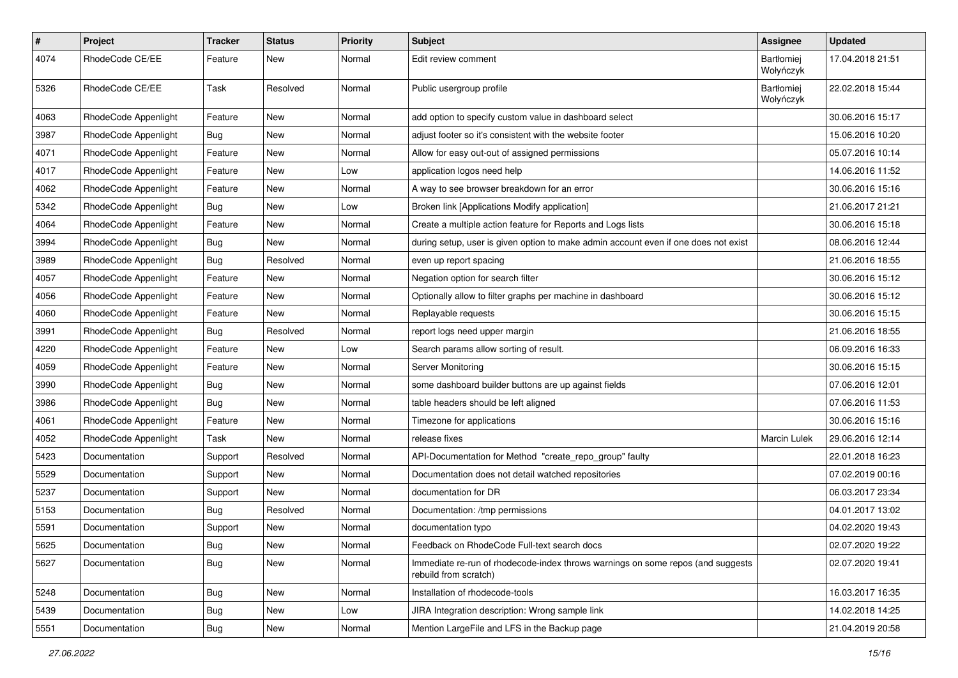| $\#$ | Project              | Tracker    | <b>Status</b> | <b>Priority</b> | <b>Subject</b>                                                                                           | <b>Assignee</b>                | <b>Updated</b>   |
|------|----------------------|------------|---------------|-----------------|----------------------------------------------------------------------------------------------------------|--------------------------------|------------------|
| 4074 | RhodeCode CE/EE      | Feature    | New           | Normal          | Edit review comment                                                                                      | <b>Bartłomiej</b><br>Wołyńczyk | 17.04.2018 21:51 |
| 5326 | RhodeCode CE/EE      | Task       | Resolved      | Normal          | Public usergroup profile                                                                                 | Bartłomiej<br>Wołyńczyk        | 22.02.2018 15:44 |
| 4063 | RhodeCode Appenlight | Feature    | New           | Normal          | add option to specify custom value in dashboard select                                                   |                                | 30.06.2016 15:17 |
| 3987 | RhodeCode Appenlight | Bug        | New           | Normal          | adjust footer so it's consistent with the website footer                                                 |                                | 15.06.2016 10:20 |
| 4071 | RhodeCode Appenlight | Feature    | New           | Normal          | Allow for easy out-out of assigned permissions                                                           |                                | 05.07.2016 10:14 |
| 4017 | RhodeCode Appenlight | Feature    | New           | Low             | application logos need help                                                                              |                                | 14.06.2016 11:52 |
| 4062 | RhodeCode Appenlight | Feature    | New           | Normal          | A way to see browser breakdown for an error                                                              |                                | 30.06.2016 15:16 |
| 5342 | RhodeCode Appenlight | <b>Bug</b> | New           | Low             | Broken link [Applications Modify application]                                                            |                                | 21.06.2017 21:21 |
| 4064 | RhodeCode Appenlight | Feature    | New           | Normal          | Create a multiple action feature for Reports and Logs lists                                              |                                | 30.06.2016 15:18 |
| 3994 | RhodeCode Appenlight | <b>Bug</b> | New           | Normal          | during setup, user is given option to make admin account even if one does not exist                      |                                | 08.06.2016 12:44 |
| 3989 | RhodeCode Appenlight | Bug        | Resolved      | Normal          | even up report spacing                                                                                   |                                | 21.06.2016 18:55 |
| 4057 | RhodeCode Appenlight | Feature    | New           | Normal          | Negation option for search filter                                                                        |                                | 30.06.2016 15:12 |
| 4056 | RhodeCode Appenlight | Feature    | New           | Normal          | Optionally allow to filter graphs per machine in dashboard                                               |                                | 30.06.2016 15:12 |
| 4060 | RhodeCode Appenlight | Feature    | New           | Normal          | Replayable requests                                                                                      |                                | 30.06.2016 15:15 |
| 3991 | RhodeCode Appenlight | Bug        | Resolved      | Normal          | report logs need upper margin                                                                            |                                | 21.06.2016 18:55 |
| 4220 | RhodeCode Appenlight | Feature    | New           | Low             | Search params allow sorting of result.                                                                   |                                | 06.09.2016 16:33 |
| 4059 | RhodeCode Appenlight | Feature    | New           | Normal          | Server Monitoring                                                                                        |                                | 30.06.2016 15:15 |
| 3990 | RhodeCode Appenlight | Bug        | New           | Normal          | some dashboard builder buttons are up against fields                                                     |                                | 07.06.2016 12:01 |
| 3986 | RhodeCode Appenlight | <b>Bug</b> | New           | Normal          | table headers should be left aligned                                                                     |                                | 07.06.2016 11:53 |
| 4061 | RhodeCode Appenlight | Feature    | New           | Normal          | Timezone for applications                                                                                |                                | 30.06.2016 15:16 |
| 4052 | RhodeCode Appenlight | Task       | New           | Normal          | release fixes                                                                                            | <b>Marcin Lulek</b>            | 29.06.2016 12:14 |
| 5423 | Documentation        | Support    | Resolved      | Normal          | API-Documentation for Method "create_repo_group" faulty                                                  |                                | 22.01.2018 16:23 |
| 5529 | Documentation        | Support    | New           | Normal          | Documentation does not detail watched repositories                                                       |                                | 07.02.2019 00:16 |
| 5237 | Documentation        | Support    | New           | Normal          | documentation for DR                                                                                     |                                | 06.03.2017 23:34 |
| 5153 | Documentation        | <b>Bug</b> | Resolved      | Normal          | Documentation: /tmp permissions                                                                          |                                | 04.01.2017 13:02 |
| 5591 | Documentation        | Support    | New           | Normal          | documentation typo                                                                                       |                                | 04.02.2020 19:43 |
| 5625 | Documentation        | Bug        | New           | Normal          | Feedback on RhodeCode Full-text search docs                                                              |                                | 02.07.2020 19:22 |
| 5627 | Documentation        | Bug        | New           | Normal          | Immediate re-run of rhodecode-index throws warnings on some repos (and suggests<br>rebuild from scratch) |                                | 02.07.2020 19:41 |
| 5248 | Documentation        | Bug        | New           | Normal          | Installation of rhodecode-tools                                                                          |                                | 16.03.2017 16:35 |
| 5439 | Documentation        | Bug        | New           | Low             | JIRA Integration description: Wrong sample link                                                          |                                | 14.02.2018 14:25 |
| 5551 | Documentation        | <b>Bug</b> | New           | Normal          | Mention LargeFile and LFS in the Backup page                                                             |                                | 21.04.2019 20:58 |